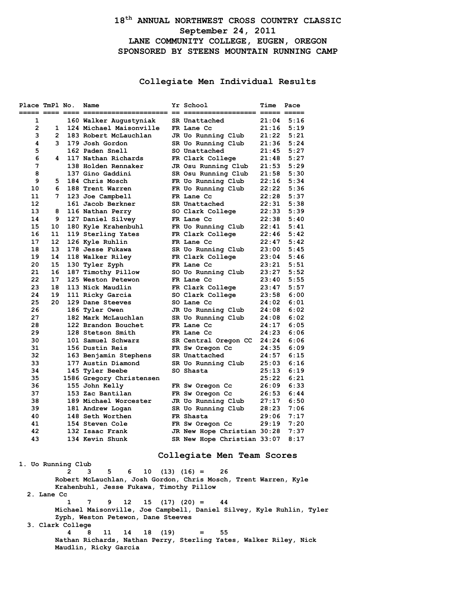# **18th ANNUAL NORTHWEST CROSS COUNTRY CLASSIC September 24, 2011 LANE COMMUNITY COLLEGE, EUGEN, OREGON SPONSORED BY STEENS MOUNTAIN RUNNING CAMP**

# **Collegiate Men Individual Results**

| Place TmPl No.<br>===== ==== ==== ==: |                       | Name                                     | Yr School                        | Time           | Pace         |
|---------------------------------------|-----------------------|------------------------------------------|----------------------------------|----------------|--------------|
| 1                                     |                       | 160 Walker Augustyniak                   | SR Unattached                    | 21:04          | 5:16         |
| $\overline{2}$                        | 1                     | 124 Michael Maisonville                  | FR Lane Cc                       | 21:16          | 5:19         |
| 3                                     | $\overline{2}$        | 183 Robert McLauchlan                    | JR Uo Running Club               | 21:22          | 5:21         |
| 4                                     | 3                     | 179 Josh Gordon                          | SR Uo Running Club               | 21:36          | 5:24         |
| 5                                     |                       | 162 Paden Snell                          | SO Unattached                    | 21:45          | 5:27         |
| 6                                     | 4                     | 117 Nathan Richards                      | FR Clark College                 | 21:48          | 5:27         |
| 7                                     |                       | 138 Holden Rennaker                      | JR Osu Running Club              | 21:53          | 5:29         |
| 8                                     |                       | 137 Gino Gaddini                         | SR Osu Running Club              | 21:58          | 5:30         |
| 9                                     | 5                     | 184 Chris Mosch                          | FR Uo Running Club               | 22:16          | 5:34         |
| 10                                    | 6                     | 188 Trent Warren                         | FR Uo Running Club               | 22:22          | 5:36         |
| 11                                    | 7                     | 123 Joe Campbell                         | FR Lane Cc                       | 22:28          | 5:37         |
| 12                                    |                       | 161 Jacob Berkner                        | SR Unattached                    | 22:31          | 5:38         |
| 13                                    | 8                     | 116 Nathan Perry                         | SO Clark College                 | 22:33          | 5:39         |
| 14                                    | 9                     | 127 Daniel Silvey                        | FR Lane Cc                       | 22:38          | 5:40         |
| 15                                    | 10                    | 180 Kyle Krahenbuhl                      | FR Uo Running Club               | 22:41          | 5:41         |
| 16                                    | 11                    | 119 Sterling Yates                       | FR Clark College                 | 22:46          | 5:42         |
| 17                                    | 12 <sup>2</sup>       | 126 Kyle Ruhlin                          | FR Lane Cc                       | 22:47          | 5:42         |
| 18                                    | 13                    | 178 Jesse Fukawa                         | SR Uo Running Club               | 23:00          | 5:45         |
| 19                                    | 14<br>15 <sub>1</sub> | 118 Walker Riley                         | FR Clark College                 | 23:04          | 5:46         |
| 20<br>21                              | 16                    | 130 Tyler Zyph                           | FR Lane Cc                       | 23:21          | 5:51<br>5:52 |
| 22                                    | 17                    | 187 Timothy Pillow<br>125 Weston Petewon | SO Uo Running Club<br>FR Lane Cc | 23:27          | 5:55         |
| 23                                    | 18                    | 113 Nick Maudlin                         | FR Clark College                 | 23:40<br>23:47 | 5:57         |
| 24                                    | 19                    | 111 Ricky Garcia                         | SO Clark College                 | 23:58          | 6:00         |
| 25                                    | 20                    | 129 Dane Steeves                         | SO Lane Cc                       | 24:02          | 6:01         |
| 26                                    |                       | 186 Tyler Owen                           | JR Uo Running Club               | 24:08          | 6:02         |
| 27                                    |                       | 182 Mark McLauchlan                      | SR Uo Running Club               | 24:08          | 6:02         |
| 28                                    |                       | 122 Brandon Bouchet                      | FR Lane Cc                       | 24:17          | 6:05         |
| 29                                    |                       | 128 Stetson Smith                        | FR Lane Cc                       | 24:23          | 6:06         |
| 30                                    |                       | 101 Samuel Schwarz                       | SR Central Oregon CC             | 24:24          | 6:06         |
| 31                                    |                       | 156 Dustin Reis                          | FR Sw Oregon Cc                  | 24:35          | 6:09         |
| 32                                    |                       | 163 Benjamin Stephens                    | SR Unattached                    | 24:57          | 6:15         |
| 33                                    |                       | 177 Austin Diamond                       | SR Uo Running Club               | 25:03          | 6:16         |
| 34                                    |                       | 145 Tyler Beebe                          | SO Shasta                        | 25:13          | 6:19         |
| 35                                    |                       | 1586 Gregory Christensen                 |                                  | 25:22          | 6:21         |
| 36                                    |                       | 155 John Kelly                           | FR Sw Oregon Cc                  | 26:09          | 6:33         |
| 37                                    |                       | 153 Zac Bantilan                         | FR Sw Oregon Cc                  | 26:53          | 6:44         |
| 38                                    |                       | 189 Michael Worcester                    | JR Uo Running Club               | 27:17          | 6:50         |
| 39                                    |                       | 181 Andrew Logan                         | SR Uo Running Club               | 28:23          | 7:06         |
| 40                                    |                       | 148 Seth Worthen                         | FR Shasta                        | 29:06          | 7:17         |
| 41                                    |                       | 154 Steven Cole                          | FR Sw Oregon Cc                  | 29:19          | 7:20         |
| 42                                    |                       | 132 Isaac Frank                          | JR New Hope Christian 30:28      |                | 7:37         |
| 43                                    |                       | 134 Kevin Shunk                          | SR New Hope Christian 33:07      |                | 8:17         |
|                                       |                       |                                          |                                  |                |              |
|                                       |                       |                                          | Collegiate Men Team Scores       |                |              |
| 1. Uo Running Club                    |                       |                                          |                                  |                |              |

 **2 3 5 6 10 (13) (16) = 26 Robert McLauchlan, Josh Gordon, Chris Mosch, Trent Warren, Kyle Krahenbuhl, Jesse Fukawa, Timothy Pillow 2. Lane Cc 1 7 9 12 15 (17) (20) = 44 Michael Maisonville, Joe Campbell, Daniel Silvey, Kyle Ruhlin, Tyler Zyph, Weston Petewon, Dane Steeves 3. Clark College 4 8 11 14 18 (19) = 55**

 **Nathan Richards, Nathan Perry, Sterling Yates, Walker Riley, Nick Maudlin, Ricky Garcia**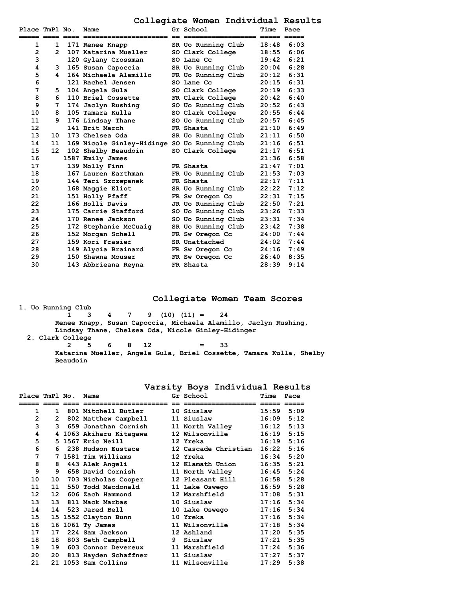# **Collegiate Women Individual Results**

| Place TmPl No. |    | Name                                         | Gr School          | Time  | Pace |
|----------------|----|----------------------------------------------|--------------------|-------|------|
| 1              | 1  | 171 Renee Knapp                              | SR Uo Running Club | 18:48 | 6:03 |
| $\overline{2}$ | 2  | 107 Katarina Mueller                         | SO Clark College   | 18:55 | 6:06 |
| 3              |    | 120 Gylany Crossman                          | SO Lane Cc         | 19:42 | 6:21 |
| 4              | 3  | 165 Susan Capoccia                           | SR Uo Running Club | 20:04 | 6:28 |
| 5              | 4  | 164 Michaela Alamillo                        | FR Uo Running Club | 20:12 | 6:31 |
| 6              |    | 121 Rachel Jensen                            | SO Lane Cc         | 20:15 | 6:31 |
| $\overline{7}$ | 5. | 104 Angela Gula                              | SO Clark College   | 20:19 | 6:33 |
| 8              | 6  | 110 Briel Cossette                           | FR Clark College   | 20:42 | 6:40 |
| 9              | 7  | 174 Jaclyn Rushing                           | SO Uo Running Club | 20:52 | 6:43 |
| 10             | 8  | 105 Tamara Kulla                             | SO Clark College   | 20:55 | 6:44 |
| 11             | ۹. | 176 Lindsay Thane                            | SO Uo Running Club | 20:57 | 6:45 |
| 12             |    | 141 Brit March                               | FR Shasta          | 21:10 | 6:49 |
| 13             | 10 | 173 Chelsea Oda                              | SR Uo Running Club | 21:11 | 6:50 |
| 14             | 11 | 169 Nicole Ginley-Hidinge SO Uo Running Club |                    | 21:16 | 6:51 |
| 15             | 12 | 102 Shelby Beaudoin                          | SO Clark College   | 21:17 | 6:51 |
| 16             |    | 1587 Emily James                             |                    | 21:36 | 6:58 |
| 17             |    | 139 Molly Finn                               | FR Shasta          | 21:47 | 7:01 |
| 18             |    | 167 Lauren Earthman                          | FR Uo Running Club | 21:53 | 7:03 |
| 19             |    | 144 Teri Szczepanek                          | FR Shasta          | 22:17 | 7:11 |
| 20             |    | 168 Maggie Eliot                             | SR Uo Running Club | 22:22 | 7:12 |
| 21             |    | 151 Holly Pfaff                              | FR Sw Oregon Cc    | 22:31 | 7:15 |
| 22             |    | 166 Holli Davis                              | JR Uo Running Club | 22:50 | 7:21 |
| 23             |    | 175 Carrie Stafford                          | SO Uo Running Club | 23:26 | 7:33 |
| 24             |    | 170 Renee Jackson                            | SO Uo Running Club | 23:31 | 7:34 |
| 25             |    | 172 Stephanie McCuaiq                        | SR Uo Running Club | 23:42 | 7:38 |
| 26             |    | 152 Morgan Schell                            | FR Sw Oregon Cc    | 24:00 | 7:44 |
| 27             |    | 159 Kori Frasier                             | SR Unattached      | 24:02 | 7:44 |
| 28             |    | 149 Alycia Brainard                          | FR Sw Oregon Cc    | 24:16 | 7:49 |
| 29             |    | 150 Shawna Mouser                            | FR Sw Oregon Cc    | 26:40 | 8:35 |
| 30             |    | 143 Abbrieana Reyna                          | FR Shasta          | 28:39 | 9:14 |
|                |    |                                              |                    |       |      |

**Collegiate Women Team Scores**

**1. Uo Running Club 1 3 4 7 9 (10) (11) = 24 Renee Knapp, Susan Capoccia, Michaela Alamillo, Jaclyn Rushing, Lindsay Thane, Chelsea Oda, Nicole Ginley-Hidinger 2. Clark College 2 5 6 8 12 = 33 Katarina Mueller, Angela Gula, Briel Cossette, Tamara Kulla, Shelby Beaudoin**

| Place TmPl No. |                  | Name                    | Gr School and the School | Time  | Pace |
|----------------|------------------|-------------------------|--------------------------|-------|------|
| 1              |                  | 1 801 Mitchell Butler   | 10 Siuslaw               | 15:59 | 5:09 |
| $\mathbf{2}$   |                  | 2 802 Matthew Campbell  | 11 Siuslaw               | 16:09 | 5:12 |
| 3              |                  | 3 659 Jonathan Cornish  | 11 North Valley          | 16:12 | 5:13 |
| 4              |                  | 4 1063 Akiharu Kitagawa | <b>12 Wilsonville</b>    | 16:19 | 5:15 |
| 5              |                  | 5 1567 Eric Neill       | 12 Yreka                 | 16:19 | 5:16 |
| 6              |                  | 6 238 Hudson Eustace    | 12 Cascade Christian     | 16:22 | 5:16 |
| 7              |                  | 7 1581 Tim Williams     | 12 Yreka                 | 16:34 | 5:20 |
| 8              | 8                | 443 Alek Angeli         | 12 Klamath Union         | 16:35 | 5:21 |
| 9              | 9                | 658 David Cornish       | 11 North Valley          | 16:45 | 5:24 |
| 10             | 10               | 703 Nicholas Cooper     | 12 Pleasant Hill         | 16:58 | 5:28 |
| 11             | 11               | 550 Todd Macdonald      | 11 Lake Oswego           | 16:59 | 5:28 |
| 12             | 12 <sup>12</sup> | 606 Zach Hammond        | 12 Marshfield            | 17:08 | 5:31 |
| 13             | 13               | 811 Mack Marbas         | 10 Siuslaw               | 17:16 | 5:34 |
| 14             | 14               | 523 Jared Bell          | 10 Lake Oswego           | 17:16 | 5:34 |
| 15             |                  | 15 1552 Clayton Bunn    | 10 Yreka                 | 17:16 | 5:34 |
| 16             |                  | 16 1061 Ty James        | 11 Wilsonville           | 17:18 | 5:34 |
| 17             | 17               | 224 Sam Jackson         | 12 Ashland               | 17:20 | 5:35 |
| 18             | 18               | 803 Seth Campbell       | 9 Siuslaw                | 17:21 | 5:35 |
| 19             | 19               | 603 Connor Devereux     | 11 Marshfield            | 17:24 | 5:36 |
| 20             | 20               | 813 Hayden Schaffner    | 11 Siuslaw               | 17:27 | 5:37 |
| 21             |                  | 21 1053 Sam Collins     | 11 Wilsonville           | 17:29 | 5:38 |
|                |                  |                         |                          |       |      |

### **Varsity Boys Individual Results**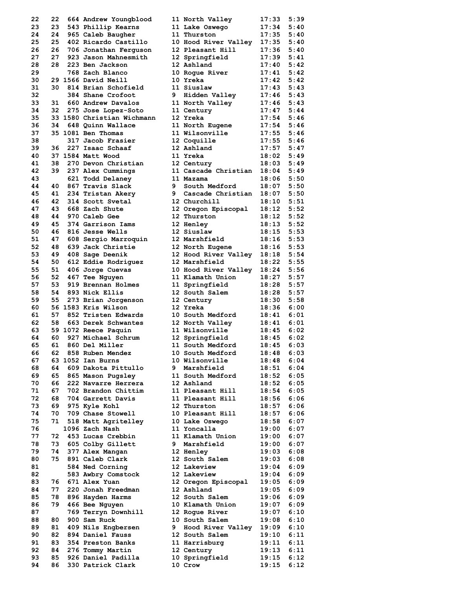| 22 | 22 | 664 Andrew Youngblood      |   | 11 North Valley      | 17:33 | 5:39 |
|----|----|----------------------------|---|----------------------|-------|------|
| 23 | 23 | 543 Phillip Kearns         |   | 11 Lake Oswego       | 17:34 | 5:40 |
| 24 | 24 | 965 Caleb Baugher          |   | 11 Thurston          | 17:35 | 5:40 |
| 25 | 25 | 402 Ricardo Castillo       |   | 10 Hood River Valley | 17:35 | 5:40 |
| 26 | 26 | 706 Jonathan Ferguson      |   | 12 Pleasant Hill     | 17:36 | 5:40 |
| 27 | 27 | 923 Jason Mahnesmith       |   | 12 Springfield       | 17:39 | 5:41 |
|    | 28 | 223 Ben Jackson            |   | 12 Ashland           |       | 5:42 |
| 28 |    |                            |   |                      | 17:40 |      |
| 29 |    | 768 Zach Blanco            |   | 10 Roque River       | 17:41 | 5:42 |
| 30 |    | 29 1566 David Neill        |   | 10 Yreka             | 17:42 | 5:42 |
| 31 | 30 | 814 Brian Schofield        |   | 11 Siuslaw           | 17:43 | 5:43 |
| 32 |    | 384 Shane Crofoot          | 9 | Hidden Valley        | 17:46 | 5:43 |
| 33 | 31 | 660 Andrew Davalos         |   | 11 North Valley      | 17:46 | 5:43 |
| 34 | 32 | 275 Jose Lopez-Soto        |   | 11 Century           | 17:47 | 5:44 |
| 35 |    | 33 1580 Christian Wichmann |   | 12 Yreka             | 17:54 | 5:46 |
| 36 | 34 | 648 Quinn Wallace          |   | 11 North Eugene      | 17:54 | 5:46 |
| 37 |    | 35 1081 Ben Thomas         |   | 11 Wilsonville       | 17:55 | 5:46 |
| 38 |    | 317 Jacob Frasier          |   | 12 Coquille          | 17:55 | 5:46 |
| 39 | 36 | 227 Isaac Schaaf           |   | 12 Ashland           | 17:57 | 5:47 |
|    |    |                            |   |                      |       |      |
| 40 |    | 37 1584 Matt Wood          |   | 11 Yreka             | 18:02 | 5:49 |
| 41 | 38 | 270 Devon Christian        |   | 12 Century           | 18:03 | 5:49 |
| 42 | 39 | 237 Alex Cummings          |   | 11 Cascade Christian | 18:04 | 5:49 |
| 43 |    | 621 Todd Delaney           |   | 11 Mazama            | 18:06 | 5:50 |
| 44 | 40 | 867 Travis Slack           | 9 | South Medford        | 18:07 | 5:50 |
| 45 | 41 | 234 Tristan Akery          | 9 | Cascade Christian    | 18:07 | 5:50 |
| 46 | 42 | 314 Scott Svetal           |   | 12 Churchill         | 18:10 | 5:51 |
| 47 | 43 | 668 Zach Shute             |   | 12 Oregon Episcopal  | 18:12 | 5:52 |
| 48 | 44 | 970 Caleb Gee              |   | 12 Thurston          | 18:12 | 5:52 |
|    |    |                            |   |                      |       |      |
| 49 | 45 | 374 Garrison Iams          |   | 12 Henley            | 18:13 | 5:52 |
| 50 | 46 | 816 Jesse Wells            |   | 12 Siuslaw           | 18:15 | 5:53 |
| 51 | 47 | 608 Sergio Marroquin       |   | 12 Marshfield        | 18:16 | 5:53 |
| 52 | 48 | 639 Jack Christie          |   | 12 North Eugene      | 18:16 | 5:53 |
| 53 | 49 | 408 Sage Deenik            |   | 12 Hood River Valley | 18:18 | 5:54 |
| 54 | 50 | 612 Eddie Rodriguez        |   | 12 Marshfield        | 18:22 | 5:55 |
| 55 | 51 | 406 Jorge Cuevas           |   | 10 Hood River Valley | 18:24 | 5:56 |
| 56 | 52 | 467 Tee Nguyen             |   | 11 Klamath Union     | 18:27 | 5:57 |
| 57 | 53 | 919 Brennan Holmes         |   | 11 Springfield       | 18:28 | 5:57 |
|    | 54 |                            |   |                      |       | 5:57 |
| 58 |    | 893 Nick Ellis             |   | 12 South Salem       | 18:28 |      |
| 59 | 55 | 273 Brian Jorgenson        |   | 12 Century           | 18:30 | 5:58 |
| 60 |    | 56 1583 Kris Wilson        |   | 12 Yreka             | 18:36 | 6:00 |
| 61 | 57 | 852 Tristen Edwards        |   | 10 South Medford     | 18:41 | 6:01 |
| 62 | 58 | 663 Derek Schwantes        |   | 12 North Valley      | 18:41 | 6:01 |
| 63 |    | 59 1072 Reece Paquin       |   | 11 Wilsonville       | 18:45 | 6:02 |
| 64 | 60 | 927 Michael Schrum         |   | 12 Springfield       | 18:45 | 6:02 |
| 65 | 61 | 860 Del Miller             |   | 11 South Medford     | 18:45 | 6:03 |
| 66 | 62 | 858 Ruben Mendez           |   | 10 South Medford     | 18:48 | 6:03 |
| 67 |    | 63 1052 Ian Burns          |   | 10 Wilsonville       | 18:48 | 6:04 |
| 68 | 64 | 609 Dakota Pittullo        | 9 | Marshfield           | 18:51 | 6:04 |
| 69 | 65 | 865 Mason Pugsley          |   | 11 South Medford     | 18:52 | 6:05 |
| 70 | 66 | 222 Navarre Herrera        |   | 12 Ashland           |       |      |
|    |    |                            |   |                      | 18:52 | 6:05 |
| 71 | 67 | 702 Brandon Chittim        |   | 11 Pleasant Hill     | 18:54 | 6:05 |
| 72 | 68 | 704 Garrett Davis          |   | 11 Pleasant Hill     | 18:56 | 6:06 |
| 73 | 69 | 975 Kyle Kohl              |   | 12 Thurston          | 18:57 | 6:06 |
| 74 | 70 | 709 Chase Stowell          |   | 10 Pleasant Hill     | 18:57 | 6:06 |
| 75 | 71 | 518 Matt Agritelley        |   | 10 Lake Oswego       | 18:58 | 6:07 |
| 76 |    | 1096 Zach Nash             |   | 11 Yoncalla          | 19:00 | 6:07 |
| 77 | 72 | 453 Lucas Crebbin          |   | 11 Klamath Union     | 19:00 | 6:07 |
| 78 | 73 | 605 Colby Gillett          | 9 | Marshfield           | 19:00 | 6:07 |
| 79 | 74 | 377 Alex Mangan            |   | 12 Henley            | 19:03 | 6:08 |
| 80 | 75 | 891 Caleb Clark            |   | 12 South Salem       | 19:03 | 6:08 |
|    |    |                            |   |                      |       |      |
| 81 |    | 584 Ned Corning            |   | 12 Lakeview          | 19:04 | 6:09 |
| 82 |    | 583 Awbry Comstock         |   | 12 Lakeview          | 19:04 | 6:09 |
| 83 | 76 | 671 Alex Yuan              |   | 12 Oregon Episcopal  | 19:05 | 6:09 |
| 84 | 77 | 220 Jonah Freedman         |   | 12 Ashland           | 19:05 | 6:09 |
| 85 | 78 | 896 Hayden Harms           |   | 12 South Salem       | 19:06 | 6:09 |
| 86 | 79 | 466 Bee Nguyen             |   | 10 Klamath Union     | 19:07 | 6:09 |
| 87 |    | 769 Terryn Downhill        |   | 12 Rogue River       | 19:07 | 6:10 |
| 88 | 80 | 900 Sam Ruck               |   | 10 South Salem       | 19:08 | 6:10 |
| 89 | 81 | 409 Nils Engbersen         | 9 | Hood River Valley    | 19:09 | 6:10 |
| 90 | 82 | 894 Daniel Fauss           |   | 12 South Salem       | 19:10 | 6:11 |
| 91 | 83 | 354 Preston Banks          |   | 11 Harrisburg        | 19:11 | 6:11 |
| 92 |    |                            |   |                      |       | 6:11 |
|    | 84 | 276 Tommy Martin           |   | 12 Century           | 19:13 |      |
| 93 | 85 | 926 Daniel Padilla         |   | 10 Springfield       | 19:15 | 6:12 |
| 94 | 86 | 330 Patrick Clark          |   | 10 Crow              | 19:15 | 6:12 |
|    |    |                            |   |                      |       |      |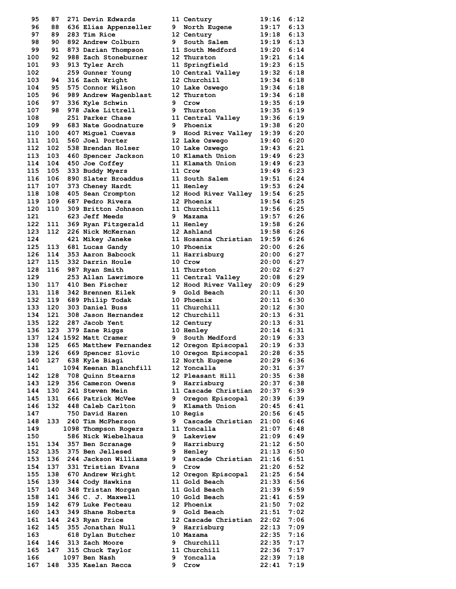| 95  | 87  | 271 Devin Edwards      |   | 11 Century                 | 19:16 | 6:12 |
|-----|-----|------------------------|---|----------------------------|-------|------|
| 96  | 88  | 636 Elias Appenzeller  | 9 | North Eugene               | 19:17 | 6:13 |
| 97  | 89  | 283 Tim Rice           |   | 12 Century                 | 19:18 | 6:13 |
| 98  | 90  | 892 Andrew Colburn     | 9 | South Salem                | 19:19 | 6:13 |
| 99  | 91  | 873 Darian Thompson    |   | 11 South Medford           | 19:20 | 6:14 |
| 100 | 92  | 988 Zach Stoneburner   |   | 12 Thurston                | 19:21 | 6:14 |
| 101 | 93  | 913 Tyler Arch         |   | 11 Springfield             | 19:23 | 6:15 |
| 102 |     | 259 Gunner Young       |   | 10 Central Valley          | 19:32 | 6:18 |
| 103 | 94  | 316 Zach Wright        |   | 12 Churchill               | 19:34 | 6:18 |
| 104 | 95  | 575 Connor Wilson      |   | 10 Lake Oswego             | 19:34 | 6:18 |
| 105 | 96  | 989 Andrew Wagenblast  |   | 12 Thurston                | 19:34 | 6:18 |
| 106 | 97  | 336 Kyle Schwin        | 9 | Crow                       | 19:35 | 6:19 |
| 107 | 98  | 978 Jake Littrell      | 9 | Thurston                   | 19:35 | 6:19 |
| 108 |     | 251 Parker Chase       |   | 11 Central Valley          | 19:36 | 6:19 |
| 109 | 99  | 683 Nate Goodnature    |   | 9 Phoenix                  | 19:38 | 6:20 |
| 110 | 100 | 407 Miguel Cuevas      | 9 | Hood River Valley          | 19:39 | 6:20 |
| 111 | 101 | 560 Joel Porter        |   | 12 Lake Oswego             | 19:40 | 6:20 |
| 112 | 102 | 538 Brendan Holser     |   | 10 Lake Oswego             | 19:43 | 6:21 |
| 113 | 103 | 460 Spencer Jackson    |   | 10 Klamath Union           | 19:49 | 6:23 |
| 114 |     |                        |   | 11 Klamath Union           |       | 6:23 |
|     | 104 | 450 Joe Coffey         |   |                            | 19:49 |      |
| 115 | 105 | 333 Buddy Myers        |   | 11 Crow                    | 19:49 | 6:23 |
| 116 | 106 | 890 Slater Broaddus    |   | 11 South Salem             | 19:51 | 6:24 |
| 117 | 107 | 373 Cheney Hardt       |   | 11 Henley                  | 19:53 | 6:24 |
| 118 | 108 | 405 Sean Crompton      |   | 12 Hood River Valley       | 19:54 | 6:25 |
| 119 | 109 | 687 Pedro Rivera       |   | 12 Phoenix                 | 19:54 | 6:25 |
| 120 | 110 | 309 Britton Johnson    |   | 11 Churchill               | 19:56 | 6:25 |
| 121 |     | 623 Jeff Meeds         | 9 | Mazama                     | 19:57 | 6:26 |
| 122 | 111 | 369 Ryan Fitzgerald    |   | 11 Henley                  | 19:58 | 6:26 |
| 123 | 112 | 226 Nick McKernan      |   | 12 Ashland                 | 19:58 | 6:26 |
| 124 |     | 421 Mikey Janeke       |   | 11 Hosanna Christian       | 19:59 | 6:26 |
| 125 | 113 | 681 Lucas Gandy        |   | 10 Phoenix                 | 20:00 | 6:26 |
| 126 | 114 | 353 Aaron Babcock      |   | 11 Harrisburg              | 20:00 | 6:27 |
| 127 | 115 | 332 Darrin Houle       |   | 10 Crow                    | 20:00 | 6:27 |
| 128 | 116 | 987 Ryan Smith         |   | 11 Thurston                | 20:02 | 6:27 |
| 129 |     | 253 Allan Lawrimore    |   | 11 Central Valley          | 20:08 | 6:29 |
| 130 | 117 | 410 Ben Fischer        |   | 12 Hood River Valley 20:09 |       | 6:29 |
| 131 | 118 | 342 Brennen Eilek      | 9 | Gold Beach                 | 20:11 | 6:30 |
| 132 | 119 | 689 Philip Todak       |   | 10 Phoenix                 | 20:11 | 6:30 |
| 133 | 120 | 303 Daniel Buss        |   | 11 Churchill               | 20:12 | 6:30 |
| 134 | 121 | 308 Jason Hernandez    |   | 12 Churchill               | 20:13 | 6:31 |
| 135 | 122 | 287 Jacob Yent         |   | 12 Century                 | 20:13 | 6:31 |
| 136 | 123 | 379 Zane Riggs         |   | 10 Henley                  | 20:14 | 6:31 |
| 137 |     | 124 1592 Matt Cramer   | 9 | South Medford              | 20:19 | 6:33 |
| 138 | 125 | 665 Matthew Fernandez  |   |                            |       | 6:33 |
|     |     |                        |   | 12 Oregon Episcopal        | 20:19 |      |
| 139 | 126 | 669 Spencer Slovic     |   | 10 Oregon Episcopal        | 20:28 | 6:35 |
| 140 | 127 | 638 Kyle Biagi         |   | 12 North Eugene            | 20:29 | 6:36 |
| 141 |     | 1094 Keenan Blanchfill |   | 12 Yoncalla                | 20:31 | 6:37 |
| 142 | 128 | 708 Quinn Stearns      |   | 12 Pleasant Hill           | 20:35 | 6:38 |
| 143 | 129 | 356 Cameron Owens      | 9 | Harrisburg                 | 20:37 | 6:38 |
| 144 | 130 | 241 Steven Mein        |   | 11 Cascade Christian       | 20:37 | 6:39 |
| 145 | 131 | 666 Patrick McVee      | 9 | Oregon Episcopal           | 20:39 | 6:39 |
| 146 | 132 | 448 Caleb Carlton      | 9 | Klamath Union              | 20:45 | 6:41 |
| 147 |     | 750 David Haren        |   | 10 Regis                   | 20:56 | 6:45 |
| 148 |     | 133 240 Tim McPherson  | 9 | Cascade Christian          | 21:00 | 6:46 |
| 149 |     | 1098 Thompson Rogers   |   | 11 Yoncalla                | 21:07 | 6:48 |
| 150 |     | 586 Nick Wiebelhaus    | 9 | Lakeview                   | 21:09 | 6:49 |
| 151 | 134 | 357 Ben Scranage       |   | 9 Harrisburg               | 21:12 | 6:50 |
| 152 | 135 | 375 Ben Jellesed       |   | <b>9 Henley</b>            | 21:13 | 6:50 |
| 153 | 136 | 244 Jackson Williams   | 9 | Cascade Christian 21:16    |       | 6:51 |
| 154 | 137 | 331 Tristian Evans     | 9 | Crow                       | 21:20 | 6:52 |
| 155 | 138 | 670 Andrew Wright      |   | 12 Oregon Episcopal        | 21:25 | 6:54 |
| 156 | 139 | 344 Cody Hawkins       |   | 11 Gold Beach              | 21:33 | 6:56 |
| 157 | 140 | 348 Tristan Morgan     |   | 11 Gold Beach              | 21:39 | 6:59 |
| 158 | 141 | 346 C. J. Maxwell      |   | 10 Gold Beach              | 21:41 | 6:59 |
| 159 | 142 | 679 Luke Fecteau       |   | 12 Phoenix                 | 21:50 | 7:02 |
| 160 | 143 | 349 Shane Roberts      | 9 | Gold Beach                 | 21:51 | 7:02 |
| 161 | 144 | 243 Ryan Price         |   | 12 Cascade Christian 22:02 |       | 7:06 |
| 162 | 145 | 355 Jonathan Null      | 9 | Harrisburg                 | 22:13 | 7:09 |
| 163 |     | 618 Dylan Butcher      |   | 10 Mazama                  | 22:35 | 7:16 |
|     |     |                        |   |                            |       |      |
| 164 | 146 | 313 Zach Moore         | 9 | Churchill                  | 22:35 | 7:17 |
| 165 | 147 | 315 Chuck Taylor       |   | 11 Churchill               | 22:36 | 7:17 |
| 166 |     | 1097 Ben Nash          | 9 | Yoncalla                   | 22:39 | 7:18 |
| 167 | 148 | 335 Kaelan Recca       | 9 | Crow                       | 22:41 | 7:19 |

| 95  | 87  | 271 Devin Edwards        |    | <b>11 Century</b>            | 19:16          | 6:12 |
|-----|-----|--------------------------|----|------------------------------|----------------|------|
| 96  | 88  | 636 Elias Appenzeller    | 9. | North Eugene                 | 19:17          | 6:13 |
| 97  | 89  | 283 Tim Rice             |    | 12 Century                   | 19:18          | 6:13 |
| 98  | 90  | 892 Andrew Colburn       | 9  | South Salem                  | 19:19          | 6:13 |
| 99  | 91  | 873 Darian Thompson      |    | 11 South Medford             | 19:20          | 6:14 |
| 100 | 92  | 988 Zach Stoneburner     |    | 12 Thurston                  | 19:21          | 6:14 |
| 101 | 93  | 913 Tyler Arch           |    | 11 Springfield               | $19:23$ $6:15$ |      |
| 102 |     |                          |    |                              | 19:32          | 6:18 |
|     |     | 259 Gunner Young         |    | 10 Central Valley            |                |      |
| 103 | 94  | 316 Zach Wright          |    | 12 Churchill                 | 19:34          | 6:18 |
| 104 | 95  | 575 Connor Wilson        |    | 10 Lake Oswego               | 19:34          | 6:18 |
| 105 | 96  | 989 Andrew Wagenblast    |    | 12 Thurston                  | 19:34          | 6:18 |
| 106 | 97  | 336 Kyle Schwin          | 9  | Crow                         | 19:35          | 6:19 |
| 107 | 98  | 978 Jake Littrell        | 9  | Thurston                     | 19:35          | 6:19 |
| 108 |     | 251 Parker Chase         |    | 11 Central Valley            | $19:36$ $6:19$ |      |
| 109 | 99  | 683 Nate Goodnature      | 9  | Phoenix                      | 19:38          | 6:20 |
| 110 | 100 | 407 Miguel Cuevas        |    | 9 Hood River Valley 19:39    |                | 6:20 |
| 111 | 101 | 560 Joel Porter          |    | 12 Lake Oswego               | 19:40          | 6:20 |
| 112 | 102 | 538 Brendan Holser       |    | 10 Lake Oswego               | 19:43          | 6:21 |
| 113 | 103 | 460 Spencer Jackson      |    | 10 Klamath Union             | 19:49          | 6:23 |
| 114 | 104 | 450 Joe Coffey           |    | 11 Klamath Union             | $19:49$ $6:23$ |      |
| 115 | 105 | 333 Buddy Myers          |    | 11 Crow                      | 19:49          | 6:23 |
|     |     |                          |    |                              |                |      |
| 116 | 106 | 890 Slater Broaddus      |    | 11 South Salem               | 19:51          | 6:24 |
| 117 | 107 | 373 Cheney Hardt         |    | <b>11 Henley</b>             | 19:53          | 6:24 |
| 118 | 108 | 405 Sean Crompton        |    | 12 Hood River Valley 19:54   |                | 6:25 |
| 119 | 109 | 687 Pedro Rivera         |    | 12 Phoenix                   | 19:54          | 6:25 |
| 120 | 110 | 309 Britton Johnson      |    | 11 Churchill                 | 19:56          | 6:25 |
| 121 |     | 623 Jeff Meeds           | 9  | Mazama                       | 19:57          | 6:26 |
| 122 | 111 | 369 Ryan Fitzgerald      |    | <b>11 Henley</b>             | 19:58          | 6:26 |
| 123 | 112 | 226 Nick McKernan        |    | 12 Ashland                   | 19:58          | 6:26 |
| 124 |     | 421 Mikey Janeke         |    | 11 Hosanna Christian         | 19:59 6:26     |      |
| 125 | 113 | 681 Lucas Gandy          |    | 10 Phoenix                   | 20:00          | 6:26 |
| 126 | 114 | 353 Aaron Babcock        |    | 11 Harrisburg                | 20:00          | 6:27 |
| 127 | 115 | 332 Darrin Houle         |    | 10 Crow                      | 20:00 6:27     |      |
|     |     |                          |    |                              |                |      |
| 128 | 116 | 987 Ryan Smith           |    | 11 Thurston                  | 20:02          | 6:27 |
| 129 |     | 253 Allan Lawrimore      |    | 11 Central Valley            | 20:08          | 6:29 |
| 130 | 117 | 410 Ben Fischer          |    | 12 Hood River Valley 20:09   |                | 6:29 |
| 131 | 118 | 342 Brennen Eilek        | 9  | Gold Beach                   | 20:11          | 6:30 |
| 132 | 119 | 689 Philip Todak         |    | <b>10 Phoenix</b>            | 20:11          | 6:30 |
| 133 | 120 | 303 Daniel Buss          |    | 11 Churchill                 | 20:12          | 6:30 |
| 134 | 121 | 308 Jason Hernandez      |    | 12 Churchill                 | $20:13$ $6:31$ |      |
| 135 | 122 | 287 Jacob Yent           |    | 12 Century                   | 20:13          | 6:31 |
| 136 | 123 | 379 Zane Riggs           |    | 10 Henley                    | $20:14$ $6:31$ |      |
| 137 |     | 124 1592 Matt Cramer     | 9  | South Medford                | $20:19$ 6:33   |      |
| 138 | 125 | 665 Matthew Fernandez    |    | 12 Oregon Episcopal          | 20:19          | 6:33 |
| 139 |     |                          |    |                              |                |      |
|     | 126 | 669 Spencer Slovic       |    | 10 Oregon Episcopal          | 20:28          | 6:35 |
| 140 | 127 | 638 Kyle Biagi           |    | 12 North Eugene              | 20:29          | 6:36 |
| 141 |     | 1094 Keenan Blanchfill   |    | 12 Yoncalla                  | 20:31          | 6:37 |
| 142 | 128 | 708 Quinn Stearns        |    | 12 Pleasant Hill             | 20:35          | 6:38 |
| 143 | 129 | 356 Cameron Owens        | 9  | Harrisburg                   | 20:37          | 6:38 |
| 144 | 130 | 241 Steven Mein          |    | 11 Cascade Christian 20:37   |                | 6:39 |
| 145 | 131 | 666 Patrick McVee        | 9  | Oregon Episcopal             | $20:39$ 6:39   |      |
| 146 | 132 | 448 Caleb Carlton        |    | 9 Klamath Union              | 20:45          | 6:41 |
| 147 |     | 750 David Haren          |    | 10 Regis                     | $20:56$ $6:45$ |      |
| 148 | 133 | 240 Tim McPherson        | 9  | Cascade Christian 21:00 6:46 |                |      |
| 149 |     | 1098 Thompson Rogers     |    | 11 Yoncalla                  | 21:07          | 6:48 |
| 150 |     | 586 Nick Wiebelhaus      |    | 9 Lakeview                   | 21:09          | 6:49 |
|     |     |                          |    |                              |                |      |
| 151 | 134 | 357 Ben Scranage         |    | 9 Harrisburg                 | $21:12$ 6:50   |      |
| 152 | 135 | 375 Ben Jellesed         |    | <b>9 Henley</b>              | 21:13          | 6:50 |
| 153 | 136 | 244 Jackson Williams     |    | 9 Cascade Christian 21:16    |                | 6:51 |
| 154 | 137 | 331 Tristian Evans       |    | 9 Crow                       | $21:20$ 6:52   |      |
| 155 | 138 | 670 Andrew Wright        |    | 12 Oregon Episcopal          | $21:25$ 6:54   |      |
| 156 | 139 | 344 Cody Hawkins         |    | 11 Gold Beach                | 21:33 6:56     |      |
| 157 | 140 | 348 Tristan Morgan       |    | 11 Gold Beach                | $21:39$ 6:59   |      |
| 158 | 141 | 346 C. J. Maxwell        |    | 10 Gold Beach                | $21:41$ 6:59   |      |
| 159 | 142 | 679 Luke Fecteau         |    | 12 Phoenix                   | 21:50          | 7:02 |
| 160 | 143 | 349 Shane Roberts        | 9  | Gold Beach                   | 21:51          | 7:02 |
| 161 | 144 | 243 Ryan Price           |    | 12 Cascade Christian 22:02   |                | 7:06 |
| 162 | 145 | 355 Jonathan Null        | 9  | Harrisburg                   | 22:13          | 7:09 |
|     |     |                          |    |                              |                |      |
| 163 |     | 618 Dylan Butcher        |    | 10 Mazama                    | 22:35          | 7:16 |
| 164 | 146 | 313 Zach Moore           | 9. | Churchill                    | 22:35          | 7:17 |
| 165 | 147 | 315 Chuck Taylor         |    | 11 Churchill                 | 22:36          | 7:17 |
| 166 |     | 1097 Ben Nash            | 9. | Yoncalla                     | 22:39          | 7:18 |
|     |     | 167 148 335 Kaelan Recca |    | 9 Crow                       | 22:41          | 7:19 |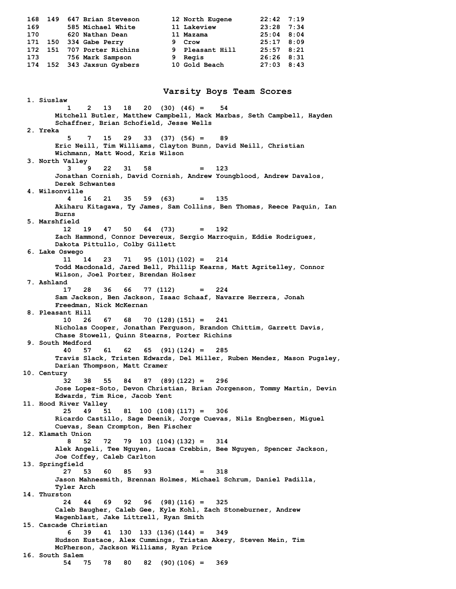**168 149 647 Brian Steveson 12 North Eugene 22:42 7:19 169 585 Michael White 11 Lakeview 23:28 7:34 170 620 Nathan Dean 11 Mazama 25:04 8:04 171 150 334 Gabe Perry 9 Crow 25:17 8:09 172 151 707 Porter Richins 9 Pleasant Hill 25:57 8:21 173 756 Mark Sampson 9 Regis 26:26 8:31 174 152 343 Jaxsun Gysbers 10 Gold Beach 27:03 8:43 Varsity Boys Team Scores 1. Siuslaw 1 2 13 18 20 (30) (46) = 54 Mitchell Butler, Matthew Campbell, Mack Marbas, Seth Campbell, Hayden Schaffner, Brian Schofield, Jesse Wells 2. Yreka 5 7 15 29 33 (37) (56) = 89 Eric Neill, Tim Williams, Clayton Bunn, David Neill, Christian Wichmann, Matt Wood, Kris Wilson 3. North Valley 3 9 22 31 58 = 123 Jonathan Cornish, David Cornish, Andrew Youngblood, Andrew Davalos, Derek Schwantes 4. Wilsonville 4 16 21 35 59 (63) = 135 Akiharu Kitagawa, Ty James, Sam Collins, Ben Thomas, Reece Paquin, Ian Burns 5. Marshfield 12 19 47 50 64 (73) = 192 Zach Hammond, Connor Devereux, Sergio Marroquin, Eddie Rodriguez, Dakota Pittullo, Colby Gillett 6. Lake Oswego 11 14 23 71 95 (101)(102) = 214 Todd Macdonald, Jared Bell, Phillip Kearns, Matt Agritelley, Connor Wilson, Joel Porter, Brendan Holser 7. Ashland 17 28 36 66 77 (112) = 224 Sam Jackson, Ben Jackson, Isaac Schaaf, Navarre Herrera, Jonah Freedman, Nick McKernan 8. Pleasant Hill 10 26 67 68 70 (128)(151) = 241 Nicholas Cooper, Jonathan Ferguson, Brandon Chittim, Garrett Davis, Chase Stowell, Quinn Stearns, Porter Richins 9. South Medford 40 57 61 62 65 (91)(124) = 285 Travis Slack, Tristen Edwards, Del Miller, Ruben Mendez, Mason Pugsley, Darian Thompson, Matt Cramer 10. Century 32 38 55 84 87 (89)(122) = 296 Jose Lopez-Soto, Devon Christian, Brian Jorgenson, Tommy Martin, Devin Edwards, Tim Rice, Jacob Yent 11. Hood River Valley 25 49 51 81 100 (108)(117) = 306 Ricardo Castillo, Sage Deenik, Jorge Cuevas, Nils Engbersen, Miguel Cuevas, Sean Crompton, Ben Fischer 12. Klamath Union 8 52 72 79 103 (104)(132) = 314 Alek Angeli, Tee Nguyen, Lucas Crebbin, Bee Nguyen, Spencer Jackson, Joe Coffey, Caleb Carlton 13. Springfield 27 53 60 85 93 = 318 Jason Mahnesmith, Brennan Holmes, Michael Schrum, Daniel Padilla, Tyler Arch 14. Thurston 24 44 69 92 96 (98)(116) = 325 Caleb Baugher, Caleb Gee, Kyle Kohl, Zach Stoneburner, Andrew Wagenblast, Jake Littrell, Ryan Smith 15. Cascade Christian 6 39 41 130 133 (136)(144) = 349 Hudson Eustace, Alex Cummings, Tristan Akery, Steven Mein, Tim McPherson, Jackson Williams, Ryan Price 16. South Salem 54 75 78 80 82 (90)(106) = 369**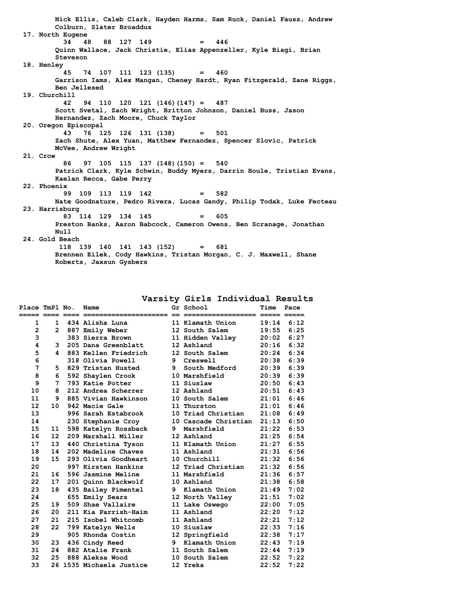**Nick Ellis, Caleb Clark, Hayden Harms, Sam Ruck, Daniel Fauss, Andrew Colburn, Slater Broaddus 17. North Eugene 34 48 88 127 149 = 446 Quinn Wallace, Jack Christie, Elias Appenzeller, Kyle Biagi, Brian Steveson 18. Henley 45 74 107 111 123 (135) = 460 Garrison Iams, Alex Mangan, Cheney Hardt, Ryan Fitzgerald, Zane Riggs, Ben Jellesed 19. Churchill 42 94 110 120 121 (146)(147) = 487 Scott Svetal, Zach Wright, Britton Johnson, Daniel Buss, Jason Hernandez, Zach Moore, Chuck Taylor 20. Oregon Episcopal 43 76 125 126 131 (138) = 501 Zach Shute, Alex Yuan, Matthew Fernandez, Spencer Slovic, Patrick McVee, Andrew Wright 21. Crow 86 97 105 115 137 (148)(150) = 540 Patrick Clark, Kyle Schwin, Buddy Myers, Darrin Houle, Tristian Evans, Kaelan Recca, Gabe Perry 22. Phoenix 99 109 113 119 142 = 582 Nate Goodnature, Pedro Rivera, Lucas Gandy, Philip Todak, Luke Fecteau 23. Harrisburg 83 114 129 134 145 = 605 Preston Banks, Aaron Babcock, Cameron Owens, Ben Scranage, Jonathan Null 24. Gold Beach 118 139 140 141 143 (152) = 681 Brennen Eilek, Cody Hawkins, Tristan Morgan, C. J. Maxwell, Shane Roberts, Jaxsun Gysbers**

#### **Varsity Girls Individual Results**

| Place TmPl No.    |                 | Name                     | Gr School            | Time         | Pace |
|-------------------|-----------------|--------------------------|----------------------|--------------|------|
| 1                 |                 | 1 434 Alisha Luna        | 11 Klamath Union     | $19:14$ 6:12 |      |
| $\overline{2}$    | $\mathbf{2}$    | 887 Emily Weber          | 12 South Salem       | 19:55        | 6:25 |
| 3                 |                 | 383 Sierra Brown         | 11 Hidden Valley     | 20:02        | 6:27 |
| 4                 | 3               | 205 Dana Greenblatt      | 12 Ashland           | 20:16        | 6:32 |
| 5                 | 4               | 883 Kellen Friedrich     | 12 South Salem       | 20:24        | 6:34 |
| 6                 |                 | 318 Olivia Powell        | 9 Creswell           | 20:38        | 6:39 |
| 7                 | 5.              | 829 Tristan Husted       | 9 South Medford      | 20:39        | 6:39 |
| 8                 | 6               | 592 Shaylen Crook        | 10 Marshfield        | 20:39        | 6:39 |
| 9                 | 7               | 793 Katie Potter         | 11 Siuslaw           | 20:50        | 6:43 |
| 10                | 8               | 212 Andrea Scherrer      | 12 Ashland           | 20:51        | 6:43 |
| 11                | 9.              | 885 Vivian Hawkinson     | 10 South Salem       | 21:01        | 6:46 |
| $12 \overline{ }$ | 10              | 942 Macie Gale           | 11 Thurston          | 21:01        | 6:46 |
| 13                |                 | 996 Sarah Estabrook      | 10 Triad Christian   | 21:08        | 6:49 |
| 14                |                 | 230 Stephanie Croy       | 10 Cascade Christian | 21:13        | 6:50 |
| 15                | 11              | 598 Katelyn Rossback     | 9 Marshfield         | 21:22        | 6:53 |
| 16                | 12 <sup>2</sup> | 209 Marshall Miller      | 12 Ashland           | 21:25        | 6:54 |
| 17                | 13              | 440 Christina Tyson      | 11 Klamath Union     | 21:27        | 6:55 |
| 18                | 14              | 202 Madeline Chaves      | 11 Ashland           | 21:31        | 6:56 |
| 19                | 15 <sub>1</sub> | 293 Olivia Goodheart     | 10 Churchill         | 21:32        | 6:56 |
| 20                |                 | 997 Kirsten Hankins      | 12 Triad Christian   | 21:32        | 6:56 |
| 21                | 16              | 596 Jasmine Meline       | 11 Marshfield        | 21:36        | 6:57 |
| 22                | 17              | 201 Quinn Blackwolf      | 10 Ashland           | 21:38        | 6:58 |
| 23                | 18              | 435 Bailey Pimentel      | 9 Klamath Union      | 21:49        | 7:02 |
| 24                |                 | 655 Emily Sears          | 12 North Valley      | 21:51        | 7:02 |
| 25                | 19              | 509 Shae Vallaire        | 11 Lake Oswego       | 22:00        | 7:05 |
| 26                | 20              | 211 Kia Parrish-Haim     | 11 Ashland           | 22:20        | 7:12 |
| 27                | 21              | 215 Isobel Whitcomb      | 11 Ashland           | 22:21        | 7:12 |
| 28                | 22              | 799 Katelyn Wells        | 10 Siuslaw           | 22:33        | 7:16 |
| 29                |                 | 905 Rhonda Costin        | 12 Springfield       | 22:38        | 7:17 |
| 30                | 23              | 436 Cindy Reed           | 9 Klamath Union      | 22:43        | 7:19 |
| 31                | 24              | 882 Atalie Frank         | 11 South Salem       | 22:44        | 7:19 |
| 32                | 25              | 888 Aleksa Wood          | 10 South Salem       | 22:52        | 7:22 |
| 33                |                 | 26 1535 Michaela Justice | 12 Yreka             | 22:52        | 7:22 |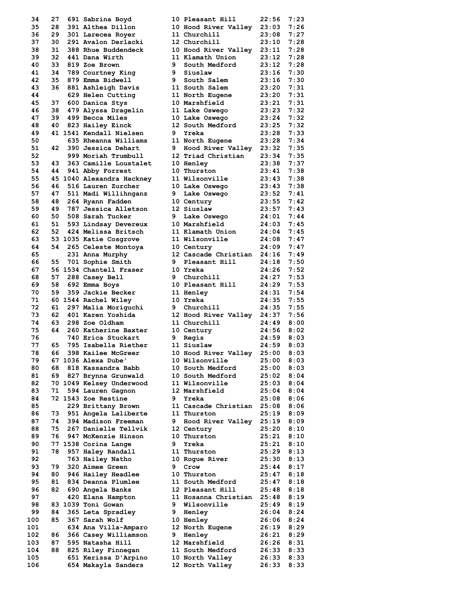| 34  | 27 | 691 Sabrina Boyd                           |    | 10 Pleasant Hill                    | 22:56          | 7:23 |
|-----|----|--------------------------------------------|----|-------------------------------------|----------------|------|
| 35  | 28 | 391 Althea Dillon                          |    | 10 Hood River Valley                | 23:03          | 7:26 |
| 36  | 29 | 301 Larecea Royer                          |    | 11 Churchill                        | 23:08          | 7:27 |
| 37  | 30 | 291 Avalon Derlacki                        |    | 12 Churchill                        | 23:10          | 7:28 |
| 38  | 31 | 388 Rhue Buddendeck                        |    | 10 Hood River Valley                | 23:11          | 7:28 |
| 39  | 32 | 441 Dana Wirth                             |    | 11 Klamath Union                    | 23:12          | 7:28 |
| 40  | 33 | 819 Zoe Brown                              | 9. | South Medford                       | 23:12          | 7:28 |
| 41  | 34 | 789 Courtney King                          | 9  | Siuslaw                             | 23:16          | 7:30 |
| 42  | 35 | 879 Emma Bidwell                           | 9  | South Salem                         | 23:16          | 7:30 |
| 43  | 36 | 881 Ashleigh Davis                         |    | 11 South Salem                      | 23:20          | 7:31 |
| 44  |    | 629 Helen Cutting                          |    | 11 North Eugene                     | 23:20          | 7:31 |
| 45  | 37 |                                            |    | 10 Marshfield                       |                | 7:31 |
|     |    | 600 Danica Stys                            |    |                                     | 23:21          |      |
| 46  | 38 | 479 Alyssa Dragelin                        |    | 11 Lake Oswego                      | 23:23          | 7:32 |
| 47  | 39 | 499 Becca Miles                            |    | 10 Lake Oswego                      | 23:24          | 7:32 |
| 48  | 40 | 823 Hailey Einck                           |    | 12 South Medford                    | 23:25          | 7:32 |
| 49  |    | 41 1541 Kendall Nielsen                    | 9. | Yreka                               | 23:28          | 7:33 |
| 50  |    | 635 Rheanna Williams                       |    | 11 North Eugene                     | 23:28          | 7:34 |
| 51  | 42 | 390 Jessica Dehart                         | 9  | Hood River Valley                   | 23:32          | 7:35 |
| 52  |    | 999 Moriah Trumbull                        |    | 12 Triad Christian                  | 23:34          | 7:35 |
| 53  | 43 | 363 Camille Loustalet                      |    | <b>10 Henley</b>                    | 23:38          | 7:37 |
| 54  | 44 | 941 Abby Forrest                           |    | 10 Thurston                         | 23:41          | 7:38 |
| 55  |    | 45 1040 Alexandra Hackney                  |    | 11 Wilsonville                      | 23:43          | 7:38 |
| 56  | 46 | 516 Lauren Zurcher                         |    | 10 Lake Oswego                      | 23:43          | 7:38 |
| 57  | 47 | 511 Madi Willihnganz                       | 9  | Lake Oswego                         | 23:52          | 7:41 |
|     |    |                                            |    |                                     |                | 7:42 |
| 58  | 48 | 264 Ryann Fadden                           |    | 10 Century                          | 23:55          |      |
| 59  | 49 | 787 Jessica Alletson                       |    | 12 Siuslaw                          | 23:57          | 7:43 |
| 60  | 50 | 508 Sarah Tucker                           | 9  | Lake Oswego                         | 24:01          | 7:44 |
| 61  | 51 | 593 Lindsay Devereux                       |    | 10 Marshfield                       | 24:03          | 7:45 |
| 62  | 52 | 424 Melissa Britsch                        |    | 11 Klamath Union                    | 24:04          | 7:45 |
| 63  |    | 53 1035 Katie Cosgrove                     |    | 11 Wilsonville                      | 24:08          | 7:47 |
| 64  | 54 | 265 Celeste Montoya                        |    | 10 Century                          | 24:09          | 7:47 |
| 65  |    | 231 Anna Murphy                            |    | 12 Cascade Christian                | 24:16          | 7:49 |
| 66  | 55 | 701 Sophie Smith                           | 9. | Pleasant Hill                       | 24:18          | 7:50 |
| 67  |    | 56 1534 Chantell Fraser                    |    | 10 Yreka                            | 24:26          | 7:52 |
| 68  | 57 | 288 Casey Bell                             | 9  | Churchill                           | 24:27          | 7:53 |
| 69  | 58 | 692 Emma Boys                              |    | 10 Pleasant Hill                    | 24:29          | 7:53 |
| 70  | 59 | 359 Jackie Becker                          |    | 11 Henley                           | 24:31          | 7:54 |
| 71  |    | 60 1544 Rachel Wiley                       |    | 10 Yreka                            | 24:35          | 7:55 |
| 72  | 61 |                                            |    |                                     |                | 7:55 |
|     |    | 297 Malia Moriquchi                        | 9  | Churchill                           | 24:35          |      |
| 73  | 62 | 401 Karen Yoshida                          |    | 12 Hood River Valley                | 24:37          | 7:56 |
| 74  | 63 | 298 Zoe Oldham                             |    | 11 Churchill                        | 24:49          | 8:00 |
| 75  | 64 | 260 Katherine Baxter                       |    | 10 Century                          | 24:56          | 8:02 |
| 76  |    | 740 Erica Stuckart                         | 9  | Regis                               | 24:59          | 8:03 |
| 77  | 65 | 795 Isabella Riether                       |    | 11 Siuslaw                          | 24:59          | 8:03 |
| 78  | 66 | 398 Kailee McGreer                         |    | 10 Hood River Valley                | 25:00          | 8:03 |
| 79  |    | 67 1036 Alexa Dube'                        |    | 10 Wilsonville                      | 25:00          | 8:03 |
| 80  | 68 | 818 Kassandra Babb                         |    | 10 South Medford                    | 25:00          | 8:03 |
| 81  | 69 | 827 Brynna Grunwald                        |    | 10 South Medford                    | 25:02          | 8:04 |
| 82  |    | 70 1049 Kelsey Underwood                   |    | 11 Wilsonville                      | 25:03          | 8:04 |
| 83  | 71 | 594 Lauren Gagnon                          |    | 12 Marshfield                       | 25:04          | 8:04 |
| 84  |    | 72 1543 Zoe Restine                        | 9  | Yreka                               | 25:08          | 8:06 |
|     |    |                                            |    |                                     |                |      |
| 85  |    | 229 Brittany Brown<br>951 Angela Laliberte |    | 11 Cascade Christian<br>11 Thurston | 25:08<br>25:19 | 8:06 |
| 86  | 73 |                                            |    |                                     |                | 8:09 |
| 87  | 74 | 394 Madison Freeman                        | 9  | Hood River Valley                   | 25:19          | 8:09 |
| 88  | 75 | 267 Danielle Tellvik                       |    | 12 Century                          | 25:20          | 8:10 |
| 89  | 76 | 947 McKenzie Hinson                        |    | 10 Thurston                         | 25:21          | 8:10 |
| 90  |    | 77 1538 Corina Lange                       | 9  | Yreka                               | 25:21          | 8:10 |
| 91  | 78 | 957 Haley Randall                          |    | 11 Thurston                         | 25:29          | 8:13 |
| 92  |    | 763 Hailey Natho                           |    | 10 Roque River                      | 25:30          | 8:13 |
| 93  | 79 | 320 Aimee Green                            | 9  | Crow                                | 25:44          | 8:17 |
| 94  | 80 | 946 Hailey Headlee                         |    | 10 Thurston                         | 25:47          | 8:18 |
| 95  | 81 | 834 Deanna Plumlee                         |    | 11 South Medford                    | 25:47          | 8:18 |
| 96  | 82 | 690 Angela Banks                           |    | 12 Pleasant Hill                    | 25:48          | 8:18 |
| 97  |    | 420 Elana Hampton                          |    | 11 Hosanna Christian                | 25:48          | 8:19 |
| 98  |    | 83 1039 Toni Gowan                         | 9  |                                     |                |      |
|     |    |                                            |    | Wilsonville                         | 25:49          | 8:19 |
| 99  | 84 | 365 Leta Spradley                          | 9. | Henley                              | 26:04          | 8:24 |
| 100 | 85 | 367 Sarah Wolf                             |    | 10 Henley                           | 26:06          | 8:24 |
| 101 |    | 634 Ana Villa-Amparo                       |    | 12 North Eugene                     | 26:19          | 8:29 |
| 102 | 86 | 366 Casey Williamson                       | 9  | Henley                              | 26:21          | 8:29 |
| 103 | 87 | 595 Natasha Hill                           |    | 12 Marshfield                       | 26:26          | 8:31 |
| 104 | 88 | 825 Riley Finnegan                         |    | 11 South Medford                    | 26:33          | 8:33 |
| 105 |    | 651 Kerissa D'Arpino                       |    | 10 North Valley                     | 26:33          | 8:33 |
| 106 |    | 654 Makayla Sanders                        |    | 12 North Valley                     | 26:33          | 8:33 |
|     |    |                                            |    |                                     |                |      |

| 35<br>28<br>391 Althea Dillon<br>10 Hood River Valley<br>23:03<br>36<br>29<br>11 Churchill<br>23:08<br>301 Larecea Royer<br>37<br>30<br>291 Avalon Derlacki<br>12 Churchill<br>23:10<br>38<br>31<br>388 Rhue Buddendeck<br>10 Hood River Valley<br>23:11<br>39<br>32<br>11 Klamath Union<br>441 Dana Wirth<br>23:12<br>40<br>33<br>9<br>South Medford<br>23:12<br>819 Zoe Brown<br>41<br>34<br>9<br>Siuslaw<br>23:16<br>789 Courtney King<br>42<br>35<br>879 Emma Bidwell<br>9<br>South Salem<br>23:16<br>43<br>36<br>11 South Salem<br>23:20<br>881 Ashleigh Davis<br>44<br>629 Helen Cutting<br>11 North Eugene<br>23:20<br>37<br>10 Marshfield<br>23:21<br>45<br>600 Danica Stys<br>46<br>38<br>23:23<br>479 Alyssa Dragelin<br>11 Lake Oswego<br>39<br>499 Becca Miles<br>23:24<br>47<br>10 Lake Oswego<br>40<br>12 South Medford<br>23:25<br>48<br>823 Hailey Einck<br>49<br>41 1541 Kendall Nielsen<br>9<br>Yreka<br>23:28<br>50<br>635 Rheanna Williams<br>11 North Eugene<br>23:28<br>51<br>42<br>390 Jessica Dehart<br>9<br>Hood River Valley 23:32<br>999 Moriah Trumbull<br>52<br>12 Triad Christian<br>23:34<br>53<br>43<br>363 Camille Loustalet<br><b>10 Henlev</b><br>23:38<br>54<br>44<br>10 Thurston<br>941 Abby Forrest<br>23:41<br>55<br>45 1040 Alexandra Hackney<br>11 Wilsonville<br>23:43<br>56<br>46<br>516 Lauren Zurcher<br>23:43<br>10 Lake Oswego<br>57<br>47<br>511 Madi Willihnganz<br>23:52<br>9<br>Lake Oswego<br>48<br>23:55<br>58<br>264 Ryann Fadden<br><b>10 Century</b><br>59<br>49<br>787 Jessica Alletson<br>12 Siuslaw<br>23:57<br>60<br>50<br>508 Sarah Tucker<br>9<br>24:01<br>Lake Oswego<br>61<br>51<br>10 Marshfield<br>24:03<br>593 Lindsay Devereux<br>52<br>424 Melissa Britsch<br>11 Klamath Union<br>62<br>24:04<br>63<br>11 Wilsonville<br>53 1035 Katie Cosgrove<br>24:08<br>54<br>24:09<br>64<br>265 Celeste Montoya<br>10 Century<br>12 Cascade Christian<br>24:16<br>65<br>231 Anna Murphy<br>701 Sophie Smith<br>9<br>Pleasant Hill<br>24:18<br>66<br>55<br>56 1534 Chantell Fraser<br>24:26<br>67<br>10 Yreka<br>9<br>Churchill<br>24:27<br>68<br>57<br>288 Casey Bell<br>69<br>58<br>692 Emma Boys<br>10 Pleasant Hill<br>24:29<br>70<br>59<br>359 Jackie Becker<br>11 Henley<br>24:31<br>71<br>24:35<br>60 1544 Rachel Wiley<br>10 Yreka<br>72<br>Churchill<br>24:35<br>61<br>297 Malia Moriguchi<br>9<br>62<br>73<br>401 Karen Yoshida<br>12 Hood River Valley 24:37<br>74<br>63<br>298 Zoe Oldham<br>11 Churchill<br>24:49<br>75<br>64<br>24:56<br>260 Katherine Baxter<br>10 Century<br>76<br>740 Erica Stuckart<br>Regis<br>24:59<br>9<br>77<br>65<br>795 Isabella Riether<br>11 Siuslaw<br>24:59<br>398 Kailee McGreer<br>10 Hood River Valley<br>78<br>66<br>25:00<br>79<br>10 Wilsonville<br>67 1036 Alexa Dube'<br>25:00<br>68<br>818 Kassandra Babb<br>10 South Medford<br>80<br>25:00<br>69<br>10 South Medford<br>81<br>827 Brynna Grunwald<br>25:02<br>70 1049 Kelsey Underwood<br>82<br>11 Wilsonville<br>25:03<br>83<br>71<br>594 Lauren Gagnon<br>12 Marshfield<br>25:04<br>9<br>84<br>72 1543 Zoe Restine<br>Yreka<br>25:08<br>11 Cascade Christian<br>25:08<br>85<br>229 Brittany Brown<br>951 Angela Laliberte<br>11 Thurston<br>25:19<br>86<br>73<br>74<br>394 Madison Freeman<br>87<br>9<br>Hood River Valley<br>25:19<br>267 Danielle Tellvik<br>88<br>75<br>25:20<br>12 Century<br>89<br>76<br>10 Thurston<br>947 McKenzie Hinson<br>25:21<br>90<br>9<br>Yreka<br>25:21<br>77 1538 Corina Lange<br>91<br>78<br>25:29<br>957 Haley Randall<br>11 Thurston<br>763 Hailey Natho<br>92<br>10 Roque River<br>25:30<br>93<br>79<br>320 Aimee Green<br>9<br>Crow<br>25:44<br>10 Thurston<br>94<br>80<br>946 Hailey Headlee<br>25:47<br>95<br>81<br>834 Deanna Plumlee<br>11 South Medford<br>25:47<br>96<br>82<br>690 Angela Banks<br>12 Pleasant Hill<br>25:48<br>97<br>11 Hosanna Christian 25:48<br>420 Elana Hampton<br>83 1039 Toni Gowan<br>98<br>9<br>Wilsonville<br>25:49<br>99<br>84<br>365 Leta Spradley<br>9 Henley<br>26:04<br>85<br>100<br>367 Sarah Wolf<br><b>10 Henley</b><br>26:06<br>101<br>634 Ana Villa-Amparo<br>12 North Eugene<br>26:19<br>102<br>86<br>366 Casey Williamson<br>Henley<br>26:21<br>9<br>103<br>87<br>595 Natasha Hill<br>12 Marshfield<br>26:26<br>104<br>88<br>825 Riley Finnegan<br>11 South Medford<br>26:33<br>105<br>651 Kerissa D'Arpino<br>10 North Valley<br>26:33 | 34  | 27 | 691 Sabrina Boyd    | 10 Pleasant Hill | 22:56 | 7:23 |
|---------------------------------------------------------------------------------------------------------------------------------------------------------------------------------------------------------------------------------------------------------------------------------------------------------------------------------------------------------------------------------------------------------------------------------------------------------------------------------------------------------------------------------------------------------------------------------------------------------------------------------------------------------------------------------------------------------------------------------------------------------------------------------------------------------------------------------------------------------------------------------------------------------------------------------------------------------------------------------------------------------------------------------------------------------------------------------------------------------------------------------------------------------------------------------------------------------------------------------------------------------------------------------------------------------------------------------------------------------------------------------------------------------------------------------------------------------------------------------------------------------------------------------------------------------------------------------------------------------------------------------------------------------------------------------------------------------------------------------------------------------------------------------------------------------------------------------------------------------------------------------------------------------------------------------------------------------------------------------------------------------------------------------------------------------------------------------------------------------------------------------------------------------------------------------------------------------------------------------------------------------------------------------------------------------------------------------------------------------------------------------------------------------------------------------------------------------------------------------------------------------------------------------------------------------------------------------------------------------------------------------------------------------------------------------------------------------------------------------------------------------------------------------------------------------------------------------------------------------------------------------------------------------------------------------------------------------------------------------------------------------------------------------------------------------------------------------------------------------------------------------------------------------------------------------------------------------------------------------------------------------------------------------------------------------------------------------------------------------------------------------------------------------------------------------------------------------------------------------------------------------------------------------------------------------------------------------------------------------------------------------------------------------------------------------------------------------------------------------------------------------------------------------------------------------------------------------------------------------------------------------------------------------------------------------------------------------------------------------------------------------------------------------------------------------------------------------------------------------------------------------------------------------------------------------------------------------------------------------------------------------------------------------------------------------------------------------------------------------------------------------------------|-----|----|---------------------|------------------|-------|------|
|                                                                                                                                                                                                                                                                                                                                                                                                                                                                                                                                                                                                                                                                                                                                                                                                                                                                                                                                                                                                                                                                                                                                                                                                                                                                                                                                                                                                                                                                                                                                                                                                                                                                                                                                                                                                                                                                                                                                                                                                                                                                                                                                                                                                                                                                                                                                                                                                                                                                                                                                                                                                                                                                                                                                                                                                                                                                                                                                                                                                                                                                                                                                                                                                                                                                                                                                                                                                                                                                                                                                                                                                                                                                                                                                                                                                                                                                                                                                                                                                                                                                                                                                                                                                                                                                                                                                                                                             |     |    |                     |                  |       | 7:26 |
|                                                                                                                                                                                                                                                                                                                                                                                                                                                                                                                                                                                                                                                                                                                                                                                                                                                                                                                                                                                                                                                                                                                                                                                                                                                                                                                                                                                                                                                                                                                                                                                                                                                                                                                                                                                                                                                                                                                                                                                                                                                                                                                                                                                                                                                                                                                                                                                                                                                                                                                                                                                                                                                                                                                                                                                                                                                                                                                                                                                                                                                                                                                                                                                                                                                                                                                                                                                                                                                                                                                                                                                                                                                                                                                                                                                                                                                                                                                                                                                                                                                                                                                                                                                                                                                                                                                                                                                             |     |    |                     |                  |       | 7:27 |
|                                                                                                                                                                                                                                                                                                                                                                                                                                                                                                                                                                                                                                                                                                                                                                                                                                                                                                                                                                                                                                                                                                                                                                                                                                                                                                                                                                                                                                                                                                                                                                                                                                                                                                                                                                                                                                                                                                                                                                                                                                                                                                                                                                                                                                                                                                                                                                                                                                                                                                                                                                                                                                                                                                                                                                                                                                                                                                                                                                                                                                                                                                                                                                                                                                                                                                                                                                                                                                                                                                                                                                                                                                                                                                                                                                                                                                                                                                                                                                                                                                                                                                                                                                                                                                                                                                                                                                                             |     |    |                     |                  |       | 7:28 |
|                                                                                                                                                                                                                                                                                                                                                                                                                                                                                                                                                                                                                                                                                                                                                                                                                                                                                                                                                                                                                                                                                                                                                                                                                                                                                                                                                                                                                                                                                                                                                                                                                                                                                                                                                                                                                                                                                                                                                                                                                                                                                                                                                                                                                                                                                                                                                                                                                                                                                                                                                                                                                                                                                                                                                                                                                                                                                                                                                                                                                                                                                                                                                                                                                                                                                                                                                                                                                                                                                                                                                                                                                                                                                                                                                                                                                                                                                                                                                                                                                                                                                                                                                                                                                                                                                                                                                                                             |     |    |                     |                  |       |      |
|                                                                                                                                                                                                                                                                                                                                                                                                                                                                                                                                                                                                                                                                                                                                                                                                                                                                                                                                                                                                                                                                                                                                                                                                                                                                                                                                                                                                                                                                                                                                                                                                                                                                                                                                                                                                                                                                                                                                                                                                                                                                                                                                                                                                                                                                                                                                                                                                                                                                                                                                                                                                                                                                                                                                                                                                                                                                                                                                                                                                                                                                                                                                                                                                                                                                                                                                                                                                                                                                                                                                                                                                                                                                                                                                                                                                                                                                                                                                                                                                                                                                                                                                                                                                                                                                                                                                                                                             |     |    |                     |                  |       | 7:28 |
|                                                                                                                                                                                                                                                                                                                                                                                                                                                                                                                                                                                                                                                                                                                                                                                                                                                                                                                                                                                                                                                                                                                                                                                                                                                                                                                                                                                                                                                                                                                                                                                                                                                                                                                                                                                                                                                                                                                                                                                                                                                                                                                                                                                                                                                                                                                                                                                                                                                                                                                                                                                                                                                                                                                                                                                                                                                                                                                                                                                                                                                                                                                                                                                                                                                                                                                                                                                                                                                                                                                                                                                                                                                                                                                                                                                                                                                                                                                                                                                                                                                                                                                                                                                                                                                                                                                                                                                             |     |    |                     |                  |       | 7:28 |
|                                                                                                                                                                                                                                                                                                                                                                                                                                                                                                                                                                                                                                                                                                                                                                                                                                                                                                                                                                                                                                                                                                                                                                                                                                                                                                                                                                                                                                                                                                                                                                                                                                                                                                                                                                                                                                                                                                                                                                                                                                                                                                                                                                                                                                                                                                                                                                                                                                                                                                                                                                                                                                                                                                                                                                                                                                                                                                                                                                                                                                                                                                                                                                                                                                                                                                                                                                                                                                                                                                                                                                                                                                                                                                                                                                                                                                                                                                                                                                                                                                                                                                                                                                                                                                                                                                                                                                                             |     |    |                     |                  |       | 7:28 |
|                                                                                                                                                                                                                                                                                                                                                                                                                                                                                                                                                                                                                                                                                                                                                                                                                                                                                                                                                                                                                                                                                                                                                                                                                                                                                                                                                                                                                                                                                                                                                                                                                                                                                                                                                                                                                                                                                                                                                                                                                                                                                                                                                                                                                                                                                                                                                                                                                                                                                                                                                                                                                                                                                                                                                                                                                                                                                                                                                                                                                                                                                                                                                                                                                                                                                                                                                                                                                                                                                                                                                                                                                                                                                                                                                                                                                                                                                                                                                                                                                                                                                                                                                                                                                                                                                                                                                                                             |     |    |                     |                  |       | 7:30 |
|                                                                                                                                                                                                                                                                                                                                                                                                                                                                                                                                                                                                                                                                                                                                                                                                                                                                                                                                                                                                                                                                                                                                                                                                                                                                                                                                                                                                                                                                                                                                                                                                                                                                                                                                                                                                                                                                                                                                                                                                                                                                                                                                                                                                                                                                                                                                                                                                                                                                                                                                                                                                                                                                                                                                                                                                                                                                                                                                                                                                                                                                                                                                                                                                                                                                                                                                                                                                                                                                                                                                                                                                                                                                                                                                                                                                                                                                                                                                                                                                                                                                                                                                                                                                                                                                                                                                                                                             |     |    |                     |                  |       | 7:30 |
|                                                                                                                                                                                                                                                                                                                                                                                                                                                                                                                                                                                                                                                                                                                                                                                                                                                                                                                                                                                                                                                                                                                                                                                                                                                                                                                                                                                                                                                                                                                                                                                                                                                                                                                                                                                                                                                                                                                                                                                                                                                                                                                                                                                                                                                                                                                                                                                                                                                                                                                                                                                                                                                                                                                                                                                                                                                                                                                                                                                                                                                                                                                                                                                                                                                                                                                                                                                                                                                                                                                                                                                                                                                                                                                                                                                                                                                                                                                                                                                                                                                                                                                                                                                                                                                                                                                                                                                             |     |    |                     |                  |       | 7:31 |
|                                                                                                                                                                                                                                                                                                                                                                                                                                                                                                                                                                                                                                                                                                                                                                                                                                                                                                                                                                                                                                                                                                                                                                                                                                                                                                                                                                                                                                                                                                                                                                                                                                                                                                                                                                                                                                                                                                                                                                                                                                                                                                                                                                                                                                                                                                                                                                                                                                                                                                                                                                                                                                                                                                                                                                                                                                                                                                                                                                                                                                                                                                                                                                                                                                                                                                                                                                                                                                                                                                                                                                                                                                                                                                                                                                                                                                                                                                                                                                                                                                                                                                                                                                                                                                                                                                                                                                                             |     |    |                     |                  |       |      |
|                                                                                                                                                                                                                                                                                                                                                                                                                                                                                                                                                                                                                                                                                                                                                                                                                                                                                                                                                                                                                                                                                                                                                                                                                                                                                                                                                                                                                                                                                                                                                                                                                                                                                                                                                                                                                                                                                                                                                                                                                                                                                                                                                                                                                                                                                                                                                                                                                                                                                                                                                                                                                                                                                                                                                                                                                                                                                                                                                                                                                                                                                                                                                                                                                                                                                                                                                                                                                                                                                                                                                                                                                                                                                                                                                                                                                                                                                                                                                                                                                                                                                                                                                                                                                                                                                                                                                                                             |     |    |                     |                  |       | 7:31 |
|                                                                                                                                                                                                                                                                                                                                                                                                                                                                                                                                                                                                                                                                                                                                                                                                                                                                                                                                                                                                                                                                                                                                                                                                                                                                                                                                                                                                                                                                                                                                                                                                                                                                                                                                                                                                                                                                                                                                                                                                                                                                                                                                                                                                                                                                                                                                                                                                                                                                                                                                                                                                                                                                                                                                                                                                                                                                                                                                                                                                                                                                                                                                                                                                                                                                                                                                                                                                                                                                                                                                                                                                                                                                                                                                                                                                                                                                                                                                                                                                                                                                                                                                                                                                                                                                                                                                                                                             |     |    |                     |                  |       | 7:31 |
|                                                                                                                                                                                                                                                                                                                                                                                                                                                                                                                                                                                                                                                                                                                                                                                                                                                                                                                                                                                                                                                                                                                                                                                                                                                                                                                                                                                                                                                                                                                                                                                                                                                                                                                                                                                                                                                                                                                                                                                                                                                                                                                                                                                                                                                                                                                                                                                                                                                                                                                                                                                                                                                                                                                                                                                                                                                                                                                                                                                                                                                                                                                                                                                                                                                                                                                                                                                                                                                                                                                                                                                                                                                                                                                                                                                                                                                                                                                                                                                                                                                                                                                                                                                                                                                                                                                                                                                             |     |    |                     |                  |       | 7:32 |
|                                                                                                                                                                                                                                                                                                                                                                                                                                                                                                                                                                                                                                                                                                                                                                                                                                                                                                                                                                                                                                                                                                                                                                                                                                                                                                                                                                                                                                                                                                                                                                                                                                                                                                                                                                                                                                                                                                                                                                                                                                                                                                                                                                                                                                                                                                                                                                                                                                                                                                                                                                                                                                                                                                                                                                                                                                                                                                                                                                                                                                                                                                                                                                                                                                                                                                                                                                                                                                                                                                                                                                                                                                                                                                                                                                                                                                                                                                                                                                                                                                                                                                                                                                                                                                                                                                                                                                                             |     |    |                     |                  |       | 7:32 |
|                                                                                                                                                                                                                                                                                                                                                                                                                                                                                                                                                                                                                                                                                                                                                                                                                                                                                                                                                                                                                                                                                                                                                                                                                                                                                                                                                                                                                                                                                                                                                                                                                                                                                                                                                                                                                                                                                                                                                                                                                                                                                                                                                                                                                                                                                                                                                                                                                                                                                                                                                                                                                                                                                                                                                                                                                                                                                                                                                                                                                                                                                                                                                                                                                                                                                                                                                                                                                                                                                                                                                                                                                                                                                                                                                                                                                                                                                                                                                                                                                                                                                                                                                                                                                                                                                                                                                                                             |     |    |                     |                  |       | 7:32 |
|                                                                                                                                                                                                                                                                                                                                                                                                                                                                                                                                                                                                                                                                                                                                                                                                                                                                                                                                                                                                                                                                                                                                                                                                                                                                                                                                                                                                                                                                                                                                                                                                                                                                                                                                                                                                                                                                                                                                                                                                                                                                                                                                                                                                                                                                                                                                                                                                                                                                                                                                                                                                                                                                                                                                                                                                                                                                                                                                                                                                                                                                                                                                                                                                                                                                                                                                                                                                                                                                                                                                                                                                                                                                                                                                                                                                                                                                                                                                                                                                                                                                                                                                                                                                                                                                                                                                                                                             |     |    |                     |                  |       | 7:33 |
|                                                                                                                                                                                                                                                                                                                                                                                                                                                                                                                                                                                                                                                                                                                                                                                                                                                                                                                                                                                                                                                                                                                                                                                                                                                                                                                                                                                                                                                                                                                                                                                                                                                                                                                                                                                                                                                                                                                                                                                                                                                                                                                                                                                                                                                                                                                                                                                                                                                                                                                                                                                                                                                                                                                                                                                                                                                                                                                                                                                                                                                                                                                                                                                                                                                                                                                                                                                                                                                                                                                                                                                                                                                                                                                                                                                                                                                                                                                                                                                                                                                                                                                                                                                                                                                                                                                                                                                             |     |    |                     |                  |       |      |
|                                                                                                                                                                                                                                                                                                                                                                                                                                                                                                                                                                                                                                                                                                                                                                                                                                                                                                                                                                                                                                                                                                                                                                                                                                                                                                                                                                                                                                                                                                                                                                                                                                                                                                                                                                                                                                                                                                                                                                                                                                                                                                                                                                                                                                                                                                                                                                                                                                                                                                                                                                                                                                                                                                                                                                                                                                                                                                                                                                                                                                                                                                                                                                                                                                                                                                                                                                                                                                                                                                                                                                                                                                                                                                                                                                                                                                                                                                                                                                                                                                                                                                                                                                                                                                                                                                                                                                                             |     |    |                     |                  |       | 7:34 |
|                                                                                                                                                                                                                                                                                                                                                                                                                                                                                                                                                                                                                                                                                                                                                                                                                                                                                                                                                                                                                                                                                                                                                                                                                                                                                                                                                                                                                                                                                                                                                                                                                                                                                                                                                                                                                                                                                                                                                                                                                                                                                                                                                                                                                                                                                                                                                                                                                                                                                                                                                                                                                                                                                                                                                                                                                                                                                                                                                                                                                                                                                                                                                                                                                                                                                                                                                                                                                                                                                                                                                                                                                                                                                                                                                                                                                                                                                                                                                                                                                                                                                                                                                                                                                                                                                                                                                                                             |     |    |                     |                  |       | 7:35 |
|                                                                                                                                                                                                                                                                                                                                                                                                                                                                                                                                                                                                                                                                                                                                                                                                                                                                                                                                                                                                                                                                                                                                                                                                                                                                                                                                                                                                                                                                                                                                                                                                                                                                                                                                                                                                                                                                                                                                                                                                                                                                                                                                                                                                                                                                                                                                                                                                                                                                                                                                                                                                                                                                                                                                                                                                                                                                                                                                                                                                                                                                                                                                                                                                                                                                                                                                                                                                                                                                                                                                                                                                                                                                                                                                                                                                                                                                                                                                                                                                                                                                                                                                                                                                                                                                                                                                                                                             |     |    |                     |                  |       | 7:35 |
|                                                                                                                                                                                                                                                                                                                                                                                                                                                                                                                                                                                                                                                                                                                                                                                                                                                                                                                                                                                                                                                                                                                                                                                                                                                                                                                                                                                                                                                                                                                                                                                                                                                                                                                                                                                                                                                                                                                                                                                                                                                                                                                                                                                                                                                                                                                                                                                                                                                                                                                                                                                                                                                                                                                                                                                                                                                                                                                                                                                                                                                                                                                                                                                                                                                                                                                                                                                                                                                                                                                                                                                                                                                                                                                                                                                                                                                                                                                                                                                                                                                                                                                                                                                                                                                                                                                                                                                             |     |    |                     |                  |       | 7:37 |
|                                                                                                                                                                                                                                                                                                                                                                                                                                                                                                                                                                                                                                                                                                                                                                                                                                                                                                                                                                                                                                                                                                                                                                                                                                                                                                                                                                                                                                                                                                                                                                                                                                                                                                                                                                                                                                                                                                                                                                                                                                                                                                                                                                                                                                                                                                                                                                                                                                                                                                                                                                                                                                                                                                                                                                                                                                                                                                                                                                                                                                                                                                                                                                                                                                                                                                                                                                                                                                                                                                                                                                                                                                                                                                                                                                                                                                                                                                                                                                                                                                                                                                                                                                                                                                                                                                                                                                                             |     |    |                     |                  |       | 7:38 |
|                                                                                                                                                                                                                                                                                                                                                                                                                                                                                                                                                                                                                                                                                                                                                                                                                                                                                                                                                                                                                                                                                                                                                                                                                                                                                                                                                                                                                                                                                                                                                                                                                                                                                                                                                                                                                                                                                                                                                                                                                                                                                                                                                                                                                                                                                                                                                                                                                                                                                                                                                                                                                                                                                                                                                                                                                                                                                                                                                                                                                                                                                                                                                                                                                                                                                                                                                                                                                                                                                                                                                                                                                                                                                                                                                                                                                                                                                                                                                                                                                                                                                                                                                                                                                                                                                                                                                                                             |     |    |                     |                  |       | 7:38 |
|                                                                                                                                                                                                                                                                                                                                                                                                                                                                                                                                                                                                                                                                                                                                                                                                                                                                                                                                                                                                                                                                                                                                                                                                                                                                                                                                                                                                                                                                                                                                                                                                                                                                                                                                                                                                                                                                                                                                                                                                                                                                                                                                                                                                                                                                                                                                                                                                                                                                                                                                                                                                                                                                                                                                                                                                                                                                                                                                                                                                                                                                                                                                                                                                                                                                                                                                                                                                                                                                                                                                                                                                                                                                                                                                                                                                                                                                                                                                                                                                                                                                                                                                                                                                                                                                                                                                                                                             |     |    |                     |                  |       |      |
|                                                                                                                                                                                                                                                                                                                                                                                                                                                                                                                                                                                                                                                                                                                                                                                                                                                                                                                                                                                                                                                                                                                                                                                                                                                                                                                                                                                                                                                                                                                                                                                                                                                                                                                                                                                                                                                                                                                                                                                                                                                                                                                                                                                                                                                                                                                                                                                                                                                                                                                                                                                                                                                                                                                                                                                                                                                                                                                                                                                                                                                                                                                                                                                                                                                                                                                                                                                                                                                                                                                                                                                                                                                                                                                                                                                                                                                                                                                                                                                                                                                                                                                                                                                                                                                                                                                                                                                             |     |    |                     |                  |       | 7:38 |
|                                                                                                                                                                                                                                                                                                                                                                                                                                                                                                                                                                                                                                                                                                                                                                                                                                                                                                                                                                                                                                                                                                                                                                                                                                                                                                                                                                                                                                                                                                                                                                                                                                                                                                                                                                                                                                                                                                                                                                                                                                                                                                                                                                                                                                                                                                                                                                                                                                                                                                                                                                                                                                                                                                                                                                                                                                                                                                                                                                                                                                                                                                                                                                                                                                                                                                                                                                                                                                                                                                                                                                                                                                                                                                                                                                                                                                                                                                                                                                                                                                                                                                                                                                                                                                                                                                                                                                                             |     |    |                     |                  |       | 7:41 |
|                                                                                                                                                                                                                                                                                                                                                                                                                                                                                                                                                                                                                                                                                                                                                                                                                                                                                                                                                                                                                                                                                                                                                                                                                                                                                                                                                                                                                                                                                                                                                                                                                                                                                                                                                                                                                                                                                                                                                                                                                                                                                                                                                                                                                                                                                                                                                                                                                                                                                                                                                                                                                                                                                                                                                                                                                                                                                                                                                                                                                                                                                                                                                                                                                                                                                                                                                                                                                                                                                                                                                                                                                                                                                                                                                                                                                                                                                                                                                                                                                                                                                                                                                                                                                                                                                                                                                                                             |     |    |                     |                  |       | 7:42 |
|                                                                                                                                                                                                                                                                                                                                                                                                                                                                                                                                                                                                                                                                                                                                                                                                                                                                                                                                                                                                                                                                                                                                                                                                                                                                                                                                                                                                                                                                                                                                                                                                                                                                                                                                                                                                                                                                                                                                                                                                                                                                                                                                                                                                                                                                                                                                                                                                                                                                                                                                                                                                                                                                                                                                                                                                                                                                                                                                                                                                                                                                                                                                                                                                                                                                                                                                                                                                                                                                                                                                                                                                                                                                                                                                                                                                                                                                                                                                                                                                                                                                                                                                                                                                                                                                                                                                                                                             |     |    |                     |                  |       | 7:43 |
|                                                                                                                                                                                                                                                                                                                                                                                                                                                                                                                                                                                                                                                                                                                                                                                                                                                                                                                                                                                                                                                                                                                                                                                                                                                                                                                                                                                                                                                                                                                                                                                                                                                                                                                                                                                                                                                                                                                                                                                                                                                                                                                                                                                                                                                                                                                                                                                                                                                                                                                                                                                                                                                                                                                                                                                                                                                                                                                                                                                                                                                                                                                                                                                                                                                                                                                                                                                                                                                                                                                                                                                                                                                                                                                                                                                                                                                                                                                                                                                                                                                                                                                                                                                                                                                                                                                                                                                             |     |    |                     |                  |       | 7:44 |
|                                                                                                                                                                                                                                                                                                                                                                                                                                                                                                                                                                                                                                                                                                                                                                                                                                                                                                                                                                                                                                                                                                                                                                                                                                                                                                                                                                                                                                                                                                                                                                                                                                                                                                                                                                                                                                                                                                                                                                                                                                                                                                                                                                                                                                                                                                                                                                                                                                                                                                                                                                                                                                                                                                                                                                                                                                                                                                                                                                                                                                                                                                                                                                                                                                                                                                                                                                                                                                                                                                                                                                                                                                                                                                                                                                                                                                                                                                                                                                                                                                                                                                                                                                                                                                                                                                                                                                                             |     |    |                     |                  |       |      |
|                                                                                                                                                                                                                                                                                                                                                                                                                                                                                                                                                                                                                                                                                                                                                                                                                                                                                                                                                                                                                                                                                                                                                                                                                                                                                                                                                                                                                                                                                                                                                                                                                                                                                                                                                                                                                                                                                                                                                                                                                                                                                                                                                                                                                                                                                                                                                                                                                                                                                                                                                                                                                                                                                                                                                                                                                                                                                                                                                                                                                                                                                                                                                                                                                                                                                                                                                                                                                                                                                                                                                                                                                                                                                                                                                                                                                                                                                                                                                                                                                                                                                                                                                                                                                                                                                                                                                                                             |     |    |                     |                  |       | 7:45 |
|                                                                                                                                                                                                                                                                                                                                                                                                                                                                                                                                                                                                                                                                                                                                                                                                                                                                                                                                                                                                                                                                                                                                                                                                                                                                                                                                                                                                                                                                                                                                                                                                                                                                                                                                                                                                                                                                                                                                                                                                                                                                                                                                                                                                                                                                                                                                                                                                                                                                                                                                                                                                                                                                                                                                                                                                                                                                                                                                                                                                                                                                                                                                                                                                                                                                                                                                                                                                                                                                                                                                                                                                                                                                                                                                                                                                                                                                                                                                                                                                                                                                                                                                                                                                                                                                                                                                                                                             |     |    |                     |                  |       | 7:45 |
|                                                                                                                                                                                                                                                                                                                                                                                                                                                                                                                                                                                                                                                                                                                                                                                                                                                                                                                                                                                                                                                                                                                                                                                                                                                                                                                                                                                                                                                                                                                                                                                                                                                                                                                                                                                                                                                                                                                                                                                                                                                                                                                                                                                                                                                                                                                                                                                                                                                                                                                                                                                                                                                                                                                                                                                                                                                                                                                                                                                                                                                                                                                                                                                                                                                                                                                                                                                                                                                                                                                                                                                                                                                                                                                                                                                                                                                                                                                                                                                                                                                                                                                                                                                                                                                                                                                                                                                             |     |    |                     |                  |       | 7:47 |
|                                                                                                                                                                                                                                                                                                                                                                                                                                                                                                                                                                                                                                                                                                                                                                                                                                                                                                                                                                                                                                                                                                                                                                                                                                                                                                                                                                                                                                                                                                                                                                                                                                                                                                                                                                                                                                                                                                                                                                                                                                                                                                                                                                                                                                                                                                                                                                                                                                                                                                                                                                                                                                                                                                                                                                                                                                                                                                                                                                                                                                                                                                                                                                                                                                                                                                                                                                                                                                                                                                                                                                                                                                                                                                                                                                                                                                                                                                                                                                                                                                                                                                                                                                                                                                                                                                                                                                                             |     |    |                     |                  |       | 7:47 |
|                                                                                                                                                                                                                                                                                                                                                                                                                                                                                                                                                                                                                                                                                                                                                                                                                                                                                                                                                                                                                                                                                                                                                                                                                                                                                                                                                                                                                                                                                                                                                                                                                                                                                                                                                                                                                                                                                                                                                                                                                                                                                                                                                                                                                                                                                                                                                                                                                                                                                                                                                                                                                                                                                                                                                                                                                                                                                                                                                                                                                                                                                                                                                                                                                                                                                                                                                                                                                                                                                                                                                                                                                                                                                                                                                                                                                                                                                                                                                                                                                                                                                                                                                                                                                                                                                                                                                                                             |     |    |                     |                  |       | 7:49 |
|                                                                                                                                                                                                                                                                                                                                                                                                                                                                                                                                                                                                                                                                                                                                                                                                                                                                                                                                                                                                                                                                                                                                                                                                                                                                                                                                                                                                                                                                                                                                                                                                                                                                                                                                                                                                                                                                                                                                                                                                                                                                                                                                                                                                                                                                                                                                                                                                                                                                                                                                                                                                                                                                                                                                                                                                                                                                                                                                                                                                                                                                                                                                                                                                                                                                                                                                                                                                                                                                                                                                                                                                                                                                                                                                                                                                                                                                                                                                                                                                                                                                                                                                                                                                                                                                                                                                                                                             |     |    |                     |                  |       | 7:50 |
|                                                                                                                                                                                                                                                                                                                                                                                                                                                                                                                                                                                                                                                                                                                                                                                                                                                                                                                                                                                                                                                                                                                                                                                                                                                                                                                                                                                                                                                                                                                                                                                                                                                                                                                                                                                                                                                                                                                                                                                                                                                                                                                                                                                                                                                                                                                                                                                                                                                                                                                                                                                                                                                                                                                                                                                                                                                                                                                                                                                                                                                                                                                                                                                                                                                                                                                                                                                                                                                                                                                                                                                                                                                                                                                                                                                                                                                                                                                                                                                                                                                                                                                                                                                                                                                                                                                                                                                             |     |    |                     |                  |       |      |
|                                                                                                                                                                                                                                                                                                                                                                                                                                                                                                                                                                                                                                                                                                                                                                                                                                                                                                                                                                                                                                                                                                                                                                                                                                                                                                                                                                                                                                                                                                                                                                                                                                                                                                                                                                                                                                                                                                                                                                                                                                                                                                                                                                                                                                                                                                                                                                                                                                                                                                                                                                                                                                                                                                                                                                                                                                                                                                                                                                                                                                                                                                                                                                                                                                                                                                                                                                                                                                                                                                                                                                                                                                                                                                                                                                                                                                                                                                                                                                                                                                                                                                                                                                                                                                                                                                                                                                                             |     |    |                     |                  |       | 7:52 |
|                                                                                                                                                                                                                                                                                                                                                                                                                                                                                                                                                                                                                                                                                                                                                                                                                                                                                                                                                                                                                                                                                                                                                                                                                                                                                                                                                                                                                                                                                                                                                                                                                                                                                                                                                                                                                                                                                                                                                                                                                                                                                                                                                                                                                                                                                                                                                                                                                                                                                                                                                                                                                                                                                                                                                                                                                                                                                                                                                                                                                                                                                                                                                                                                                                                                                                                                                                                                                                                                                                                                                                                                                                                                                                                                                                                                                                                                                                                                                                                                                                                                                                                                                                                                                                                                                                                                                                                             |     |    |                     |                  |       | 7:53 |
|                                                                                                                                                                                                                                                                                                                                                                                                                                                                                                                                                                                                                                                                                                                                                                                                                                                                                                                                                                                                                                                                                                                                                                                                                                                                                                                                                                                                                                                                                                                                                                                                                                                                                                                                                                                                                                                                                                                                                                                                                                                                                                                                                                                                                                                                                                                                                                                                                                                                                                                                                                                                                                                                                                                                                                                                                                                                                                                                                                                                                                                                                                                                                                                                                                                                                                                                                                                                                                                                                                                                                                                                                                                                                                                                                                                                                                                                                                                                                                                                                                                                                                                                                                                                                                                                                                                                                                                             |     |    |                     |                  |       | 7:53 |
|                                                                                                                                                                                                                                                                                                                                                                                                                                                                                                                                                                                                                                                                                                                                                                                                                                                                                                                                                                                                                                                                                                                                                                                                                                                                                                                                                                                                                                                                                                                                                                                                                                                                                                                                                                                                                                                                                                                                                                                                                                                                                                                                                                                                                                                                                                                                                                                                                                                                                                                                                                                                                                                                                                                                                                                                                                                                                                                                                                                                                                                                                                                                                                                                                                                                                                                                                                                                                                                                                                                                                                                                                                                                                                                                                                                                                                                                                                                                                                                                                                                                                                                                                                                                                                                                                                                                                                                             |     |    |                     |                  |       | 7:54 |
|                                                                                                                                                                                                                                                                                                                                                                                                                                                                                                                                                                                                                                                                                                                                                                                                                                                                                                                                                                                                                                                                                                                                                                                                                                                                                                                                                                                                                                                                                                                                                                                                                                                                                                                                                                                                                                                                                                                                                                                                                                                                                                                                                                                                                                                                                                                                                                                                                                                                                                                                                                                                                                                                                                                                                                                                                                                                                                                                                                                                                                                                                                                                                                                                                                                                                                                                                                                                                                                                                                                                                                                                                                                                                                                                                                                                                                                                                                                                                                                                                                                                                                                                                                                                                                                                                                                                                                                             |     |    |                     |                  |       | 7:55 |
|                                                                                                                                                                                                                                                                                                                                                                                                                                                                                                                                                                                                                                                                                                                                                                                                                                                                                                                                                                                                                                                                                                                                                                                                                                                                                                                                                                                                                                                                                                                                                                                                                                                                                                                                                                                                                                                                                                                                                                                                                                                                                                                                                                                                                                                                                                                                                                                                                                                                                                                                                                                                                                                                                                                                                                                                                                                                                                                                                                                                                                                                                                                                                                                                                                                                                                                                                                                                                                                                                                                                                                                                                                                                                                                                                                                                                                                                                                                                                                                                                                                                                                                                                                                                                                                                                                                                                                                             |     |    |                     |                  |       | 7:55 |
|                                                                                                                                                                                                                                                                                                                                                                                                                                                                                                                                                                                                                                                                                                                                                                                                                                                                                                                                                                                                                                                                                                                                                                                                                                                                                                                                                                                                                                                                                                                                                                                                                                                                                                                                                                                                                                                                                                                                                                                                                                                                                                                                                                                                                                                                                                                                                                                                                                                                                                                                                                                                                                                                                                                                                                                                                                                                                                                                                                                                                                                                                                                                                                                                                                                                                                                                                                                                                                                                                                                                                                                                                                                                                                                                                                                                                                                                                                                                                                                                                                                                                                                                                                                                                                                                                                                                                                                             |     |    |                     |                  |       |      |
|                                                                                                                                                                                                                                                                                                                                                                                                                                                                                                                                                                                                                                                                                                                                                                                                                                                                                                                                                                                                                                                                                                                                                                                                                                                                                                                                                                                                                                                                                                                                                                                                                                                                                                                                                                                                                                                                                                                                                                                                                                                                                                                                                                                                                                                                                                                                                                                                                                                                                                                                                                                                                                                                                                                                                                                                                                                                                                                                                                                                                                                                                                                                                                                                                                                                                                                                                                                                                                                                                                                                                                                                                                                                                                                                                                                                                                                                                                                                                                                                                                                                                                                                                                                                                                                                                                                                                                                             |     |    |                     |                  |       | 7:56 |
|                                                                                                                                                                                                                                                                                                                                                                                                                                                                                                                                                                                                                                                                                                                                                                                                                                                                                                                                                                                                                                                                                                                                                                                                                                                                                                                                                                                                                                                                                                                                                                                                                                                                                                                                                                                                                                                                                                                                                                                                                                                                                                                                                                                                                                                                                                                                                                                                                                                                                                                                                                                                                                                                                                                                                                                                                                                                                                                                                                                                                                                                                                                                                                                                                                                                                                                                                                                                                                                                                                                                                                                                                                                                                                                                                                                                                                                                                                                                                                                                                                                                                                                                                                                                                                                                                                                                                                                             |     |    |                     |                  |       | 8:00 |
|                                                                                                                                                                                                                                                                                                                                                                                                                                                                                                                                                                                                                                                                                                                                                                                                                                                                                                                                                                                                                                                                                                                                                                                                                                                                                                                                                                                                                                                                                                                                                                                                                                                                                                                                                                                                                                                                                                                                                                                                                                                                                                                                                                                                                                                                                                                                                                                                                                                                                                                                                                                                                                                                                                                                                                                                                                                                                                                                                                                                                                                                                                                                                                                                                                                                                                                                                                                                                                                                                                                                                                                                                                                                                                                                                                                                                                                                                                                                                                                                                                                                                                                                                                                                                                                                                                                                                                                             |     |    |                     |                  |       | 8:02 |
|                                                                                                                                                                                                                                                                                                                                                                                                                                                                                                                                                                                                                                                                                                                                                                                                                                                                                                                                                                                                                                                                                                                                                                                                                                                                                                                                                                                                                                                                                                                                                                                                                                                                                                                                                                                                                                                                                                                                                                                                                                                                                                                                                                                                                                                                                                                                                                                                                                                                                                                                                                                                                                                                                                                                                                                                                                                                                                                                                                                                                                                                                                                                                                                                                                                                                                                                                                                                                                                                                                                                                                                                                                                                                                                                                                                                                                                                                                                                                                                                                                                                                                                                                                                                                                                                                                                                                                                             |     |    |                     |                  |       | 8:03 |
|                                                                                                                                                                                                                                                                                                                                                                                                                                                                                                                                                                                                                                                                                                                                                                                                                                                                                                                                                                                                                                                                                                                                                                                                                                                                                                                                                                                                                                                                                                                                                                                                                                                                                                                                                                                                                                                                                                                                                                                                                                                                                                                                                                                                                                                                                                                                                                                                                                                                                                                                                                                                                                                                                                                                                                                                                                                                                                                                                                                                                                                                                                                                                                                                                                                                                                                                                                                                                                                                                                                                                                                                                                                                                                                                                                                                                                                                                                                                                                                                                                                                                                                                                                                                                                                                                                                                                                                             |     |    |                     |                  |       | 8:03 |
|                                                                                                                                                                                                                                                                                                                                                                                                                                                                                                                                                                                                                                                                                                                                                                                                                                                                                                                                                                                                                                                                                                                                                                                                                                                                                                                                                                                                                                                                                                                                                                                                                                                                                                                                                                                                                                                                                                                                                                                                                                                                                                                                                                                                                                                                                                                                                                                                                                                                                                                                                                                                                                                                                                                                                                                                                                                                                                                                                                                                                                                                                                                                                                                                                                                                                                                                                                                                                                                                                                                                                                                                                                                                                                                                                                                                                                                                                                                                                                                                                                                                                                                                                                                                                                                                                                                                                                                             |     |    |                     |                  |       |      |
|                                                                                                                                                                                                                                                                                                                                                                                                                                                                                                                                                                                                                                                                                                                                                                                                                                                                                                                                                                                                                                                                                                                                                                                                                                                                                                                                                                                                                                                                                                                                                                                                                                                                                                                                                                                                                                                                                                                                                                                                                                                                                                                                                                                                                                                                                                                                                                                                                                                                                                                                                                                                                                                                                                                                                                                                                                                                                                                                                                                                                                                                                                                                                                                                                                                                                                                                                                                                                                                                                                                                                                                                                                                                                                                                                                                                                                                                                                                                                                                                                                                                                                                                                                                                                                                                                                                                                                                             |     |    |                     |                  |       | 8:03 |
|                                                                                                                                                                                                                                                                                                                                                                                                                                                                                                                                                                                                                                                                                                                                                                                                                                                                                                                                                                                                                                                                                                                                                                                                                                                                                                                                                                                                                                                                                                                                                                                                                                                                                                                                                                                                                                                                                                                                                                                                                                                                                                                                                                                                                                                                                                                                                                                                                                                                                                                                                                                                                                                                                                                                                                                                                                                                                                                                                                                                                                                                                                                                                                                                                                                                                                                                                                                                                                                                                                                                                                                                                                                                                                                                                                                                                                                                                                                                                                                                                                                                                                                                                                                                                                                                                                                                                                                             |     |    |                     |                  |       | 8:03 |
|                                                                                                                                                                                                                                                                                                                                                                                                                                                                                                                                                                                                                                                                                                                                                                                                                                                                                                                                                                                                                                                                                                                                                                                                                                                                                                                                                                                                                                                                                                                                                                                                                                                                                                                                                                                                                                                                                                                                                                                                                                                                                                                                                                                                                                                                                                                                                                                                                                                                                                                                                                                                                                                                                                                                                                                                                                                                                                                                                                                                                                                                                                                                                                                                                                                                                                                                                                                                                                                                                                                                                                                                                                                                                                                                                                                                                                                                                                                                                                                                                                                                                                                                                                                                                                                                                                                                                                                             |     |    |                     |                  |       | 8:03 |
|                                                                                                                                                                                                                                                                                                                                                                                                                                                                                                                                                                                                                                                                                                                                                                                                                                                                                                                                                                                                                                                                                                                                                                                                                                                                                                                                                                                                                                                                                                                                                                                                                                                                                                                                                                                                                                                                                                                                                                                                                                                                                                                                                                                                                                                                                                                                                                                                                                                                                                                                                                                                                                                                                                                                                                                                                                                                                                                                                                                                                                                                                                                                                                                                                                                                                                                                                                                                                                                                                                                                                                                                                                                                                                                                                                                                                                                                                                                                                                                                                                                                                                                                                                                                                                                                                                                                                                                             |     |    |                     |                  |       | 8:04 |
|                                                                                                                                                                                                                                                                                                                                                                                                                                                                                                                                                                                                                                                                                                                                                                                                                                                                                                                                                                                                                                                                                                                                                                                                                                                                                                                                                                                                                                                                                                                                                                                                                                                                                                                                                                                                                                                                                                                                                                                                                                                                                                                                                                                                                                                                                                                                                                                                                                                                                                                                                                                                                                                                                                                                                                                                                                                                                                                                                                                                                                                                                                                                                                                                                                                                                                                                                                                                                                                                                                                                                                                                                                                                                                                                                                                                                                                                                                                                                                                                                                                                                                                                                                                                                                                                                                                                                                                             |     |    |                     |                  |       | 8:04 |
|                                                                                                                                                                                                                                                                                                                                                                                                                                                                                                                                                                                                                                                                                                                                                                                                                                                                                                                                                                                                                                                                                                                                                                                                                                                                                                                                                                                                                                                                                                                                                                                                                                                                                                                                                                                                                                                                                                                                                                                                                                                                                                                                                                                                                                                                                                                                                                                                                                                                                                                                                                                                                                                                                                                                                                                                                                                                                                                                                                                                                                                                                                                                                                                                                                                                                                                                                                                                                                                                                                                                                                                                                                                                                                                                                                                                                                                                                                                                                                                                                                                                                                                                                                                                                                                                                                                                                                                             |     |    |                     |                  |       | 8:04 |
|                                                                                                                                                                                                                                                                                                                                                                                                                                                                                                                                                                                                                                                                                                                                                                                                                                                                                                                                                                                                                                                                                                                                                                                                                                                                                                                                                                                                                                                                                                                                                                                                                                                                                                                                                                                                                                                                                                                                                                                                                                                                                                                                                                                                                                                                                                                                                                                                                                                                                                                                                                                                                                                                                                                                                                                                                                                                                                                                                                                                                                                                                                                                                                                                                                                                                                                                                                                                                                                                                                                                                                                                                                                                                                                                                                                                                                                                                                                                                                                                                                                                                                                                                                                                                                                                                                                                                                                             |     |    |                     |                  |       |      |
|                                                                                                                                                                                                                                                                                                                                                                                                                                                                                                                                                                                                                                                                                                                                                                                                                                                                                                                                                                                                                                                                                                                                                                                                                                                                                                                                                                                                                                                                                                                                                                                                                                                                                                                                                                                                                                                                                                                                                                                                                                                                                                                                                                                                                                                                                                                                                                                                                                                                                                                                                                                                                                                                                                                                                                                                                                                                                                                                                                                                                                                                                                                                                                                                                                                                                                                                                                                                                                                                                                                                                                                                                                                                                                                                                                                                                                                                                                                                                                                                                                                                                                                                                                                                                                                                                                                                                                                             |     |    |                     |                  |       | 8:06 |
|                                                                                                                                                                                                                                                                                                                                                                                                                                                                                                                                                                                                                                                                                                                                                                                                                                                                                                                                                                                                                                                                                                                                                                                                                                                                                                                                                                                                                                                                                                                                                                                                                                                                                                                                                                                                                                                                                                                                                                                                                                                                                                                                                                                                                                                                                                                                                                                                                                                                                                                                                                                                                                                                                                                                                                                                                                                                                                                                                                                                                                                                                                                                                                                                                                                                                                                                                                                                                                                                                                                                                                                                                                                                                                                                                                                                                                                                                                                                                                                                                                                                                                                                                                                                                                                                                                                                                                                             |     |    |                     |                  |       | 8:06 |
|                                                                                                                                                                                                                                                                                                                                                                                                                                                                                                                                                                                                                                                                                                                                                                                                                                                                                                                                                                                                                                                                                                                                                                                                                                                                                                                                                                                                                                                                                                                                                                                                                                                                                                                                                                                                                                                                                                                                                                                                                                                                                                                                                                                                                                                                                                                                                                                                                                                                                                                                                                                                                                                                                                                                                                                                                                                                                                                                                                                                                                                                                                                                                                                                                                                                                                                                                                                                                                                                                                                                                                                                                                                                                                                                                                                                                                                                                                                                                                                                                                                                                                                                                                                                                                                                                                                                                                                             |     |    |                     |                  |       | 8:09 |
|                                                                                                                                                                                                                                                                                                                                                                                                                                                                                                                                                                                                                                                                                                                                                                                                                                                                                                                                                                                                                                                                                                                                                                                                                                                                                                                                                                                                                                                                                                                                                                                                                                                                                                                                                                                                                                                                                                                                                                                                                                                                                                                                                                                                                                                                                                                                                                                                                                                                                                                                                                                                                                                                                                                                                                                                                                                                                                                                                                                                                                                                                                                                                                                                                                                                                                                                                                                                                                                                                                                                                                                                                                                                                                                                                                                                                                                                                                                                                                                                                                                                                                                                                                                                                                                                                                                                                                                             |     |    |                     |                  |       | 8:09 |
|                                                                                                                                                                                                                                                                                                                                                                                                                                                                                                                                                                                                                                                                                                                                                                                                                                                                                                                                                                                                                                                                                                                                                                                                                                                                                                                                                                                                                                                                                                                                                                                                                                                                                                                                                                                                                                                                                                                                                                                                                                                                                                                                                                                                                                                                                                                                                                                                                                                                                                                                                                                                                                                                                                                                                                                                                                                                                                                                                                                                                                                                                                                                                                                                                                                                                                                                                                                                                                                                                                                                                                                                                                                                                                                                                                                                                                                                                                                                                                                                                                                                                                                                                                                                                                                                                                                                                                                             |     |    |                     |                  |       | 8:10 |
|                                                                                                                                                                                                                                                                                                                                                                                                                                                                                                                                                                                                                                                                                                                                                                                                                                                                                                                                                                                                                                                                                                                                                                                                                                                                                                                                                                                                                                                                                                                                                                                                                                                                                                                                                                                                                                                                                                                                                                                                                                                                                                                                                                                                                                                                                                                                                                                                                                                                                                                                                                                                                                                                                                                                                                                                                                                                                                                                                                                                                                                                                                                                                                                                                                                                                                                                                                                                                                                                                                                                                                                                                                                                                                                                                                                                                                                                                                                                                                                                                                                                                                                                                                                                                                                                                                                                                                                             |     |    |                     |                  |       | 8:10 |
|                                                                                                                                                                                                                                                                                                                                                                                                                                                                                                                                                                                                                                                                                                                                                                                                                                                                                                                                                                                                                                                                                                                                                                                                                                                                                                                                                                                                                                                                                                                                                                                                                                                                                                                                                                                                                                                                                                                                                                                                                                                                                                                                                                                                                                                                                                                                                                                                                                                                                                                                                                                                                                                                                                                                                                                                                                                                                                                                                                                                                                                                                                                                                                                                                                                                                                                                                                                                                                                                                                                                                                                                                                                                                                                                                                                                                                                                                                                                                                                                                                                                                                                                                                                                                                                                                                                                                                                             |     |    |                     |                  |       |      |
|                                                                                                                                                                                                                                                                                                                                                                                                                                                                                                                                                                                                                                                                                                                                                                                                                                                                                                                                                                                                                                                                                                                                                                                                                                                                                                                                                                                                                                                                                                                                                                                                                                                                                                                                                                                                                                                                                                                                                                                                                                                                                                                                                                                                                                                                                                                                                                                                                                                                                                                                                                                                                                                                                                                                                                                                                                                                                                                                                                                                                                                                                                                                                                                                                                                                                                                                                                                                                                                                                                                                                                                                                                                                                                                                                                                                                                                                                                                                                                                                                                                                                                                                                                                                                                                                                                                                                                                             |     |    |                     |                  |       | 8:10 |
|                                                                                                                                                                                                                                                                                                                                                                                                                                                                                                                                                                                                                                                                                                                                                                                                                                                                                                                                                                                                                                                                                                                                                                                                                                                                                                                                                                                                                                                                                                                                                                                                                                                                                                                                                                                                                                                                                                                                                                                                                                                                                                                                                                                                                                                                                                                                                                                                                                                                                                                                                                                                                                                                                                                                                                                                                                                                                                                                                                                                                                                                                                                                                                                                                                                                                                                                                                                                                                                                                                                                                                                                                                                                                                                                                                                                                                                                                                                                                                                                                                                                                                                                                                                                                                                                                                                                                                                             |     |    |                     |                  |       | 8:13 |
|                                                                                                                                                                                                                                                                                                                                                                                                                                                                                                                                                                                                                                                                                                                                                                                                                                                                                                                                                                                                                                                                                                                                                                                                                                                                                                                                                                                                                                                                                                                                                                                                                                                                                                                                                                                                                                                                                                                                                                                                                                                                                                                                                                                                                                                                                                                                                                                                                                                                                                                                                                                                                                                                                                                                                                                                                                                                                                                                                                                                                                                                                                                                                                                                                                                                                                                                                                                                                                                                                                                                                                                                                                                                                                                                                                                                                                                                                                                                                                                                                                                                                                                                                                                                                                                                                                                                                                                             |     |    |                     |                  |       | 8:13 |
|                                                                                                                                                                                                                                                                                                                                                                                                                                                                                                                                                                                                                                                                                                                                                                                                                                                                                                                                                                                                                                                                                                                                                                                                                                                                                                                                                                                                                                                                                                                                                                                                                                                                                                                                                                                                                                                                                                                                                                                                                                                                                                                                                                                                                                                                                                                                                                                                                                                                                                                                                                                                                                                                                                                                                                                                                                                                                                                                                                                                                                                                                                                                                                                                                                                                                                                                                                                                                                                                                                                                                                                                                                                                                                                                                                                                                                                                                                                                                                                                                                                                                                                                                                                                                                                                                                                                                                                             |     |    |                     |                  |       | 8:17 |
|                                                                                                                                                                                                                                                                                                                                                                                                                                                                                                                                                                                                                                                                                                                                                                                                                                                                                                                                                                                                                                                                                                                                                                                                                                                                                                                                                                                                                                                                                                                                                                                                                                                                                                                                                                                                                                                                                                                                                                                                                                                                                                                                                                                                                                                                                                                                                                                                                                                                                                                                                                                                                                                                                                                                                                                                                                                                                                                                                                                                                                                                                                                                                                                                                                                                                                                                                                                                                                                                                                                                                                                                                                                                                                                                                                                                                                                                                                                                                                                                                                                                                                                                                                                                                                                                                                                                                                                             |     |    |                     |                  |       | 8:18 |
|                                                                                                                                                                                                                                                                                                                                                                                                                                                                                                                                                                                                                                                                                                                                                                                                                                                                                                                                                                                                                                                                                                                                                                                                                                                                                                                                                                                                                                                                                                                                                                                                                                                                                                                                                                                                                                                                                                                                                                                                                                                                                                                                                                                                                                                                                                                                                                                                                                                                                                                                                                                                                                                                                                                                                                                                                                                                                                                                                                                                                                                                                                                                                                                                                                                                                                                                                                                                                                                                                                                                                                                                                                                                                                                                                                                                                                                                                                                                                                                                                                                                                                                                                                                                                                                                                                                                                                                             |     |    |                     |                  |       | 8:18 |
|                                                                                                                                                                                                                                                                                                                                                                                                                                                                                                                                                                                                                                                                                                                                                                                                                                                                                                                                                                                                                                                                                                                                                                                                                                                                                                                                                                                                                                                                                                                                                                                                                                                                                                                                                                                                                                                                                                                                                                                                                                                                                                                                                                                                                                                                                                                                                                                                                                                                                                                                                                                                                                                                                                                                                                                                                                                                                                                                                                                                                                                                                                                                                                                                                                                                                                                                                                                                                                                                                                                                                                                                                                                                                                                                                                                                                                                                                                                                                                                                                                                                                                                                                                                                                                                                                                                                                                                             |     |    |                     |                  |       |      |
|                                                                                                                                                                                                                                                                                                                                                                                                                                                                                                                                                                                                                                                                                                                                                                                                                                                                                                                                                                                                                                                                                                                                                                                                                                                                                                                                                                                                                                                                                                                                                                                                                                                                                                                                                                                                                                                                                                                                                                                                                                                                                                                                                                                                                                                                                                                                                                                                                                                                                                                                                                                                                                                                                                                                                                                                                                                                                                                                                                                                                                                                                                                                                                                                                                                                                                                                                                                                                                                                                                                                                                                                                                                                                                                                                                                                                                                                                                                                                                                                                                                                                                                                                                                                                                                                                                                                                                                             |     |    |                     |                  |       | 8:18 |
|                                                                                                                                                                                                                                                                                                                                                                                                                                                                                                                                                                                                                                                                                                                                                                                                                                                                                                                                                                                                                                                                                                                                                                                                                                                                                                                                                                                                                                                                                                                                                                                                                                                                                                                                                                                                                                                                                                                                                                                                                                                                                                                                                                                                                                                                                                                                                                                                                                                                                                                                                                                                                                                                                                                                                                                                                                                                                                                                                                                                                                                                                                                                                                                                                                                                                                                                                                                                                                                                                                                                                                                                                                                                                                                                                                                                                                                                                                                                                                                                                                                                                                                                                                                                                                                                                                                                                                                             |     |    |                     |                  |       | 8:19 |
|                                                                                                                                                                                                                                                                                                                                                                                                                                                                                                                                                                                                                                                                                                                                                                                                                                                                                                                                                                                                                                                                                                                                                                                                                                                                                                                                                                                                                                                                                                                                                                                                                                                                                                                                                                                                                                                                                                                                                                                                                                                                                                                                                                                                                                                                                                                                                                                                                                                                                                                                                                                                                                                                                                                                                                                                                                                                                                                                                                                                                                                                                                                                                                                                                                                                                                                                                                                                                                                                                                                                                                                                                                                                                                                                                                                                                                                                                                                                                                                                                                                                                                                                                                                                                                                                                                                                                                                             |     |    |                     |                  |       | 8:19 |
|                                                                                                                                                                                                                                                                                                                                                                                                                                                                                                                                                                                                                                                                                                                                                                                                                                                                                                                                                                                                                                                                                                                                                                                                                                                                                                                                                                                                                                                                                                                                                                                                                                                                                                                                                                                                                                                                                                                                                                                                                                                                                                                                                                                                                                                                                                                                                                                                                                                                                                                                                                                                                                                                                                                                                                                                                                                                                                                                                                                                                                                                                                                                                                                                                                                                                                                                                                                                                                                                                                                                                                                                                                                                                                                                                                                                                                                                                                                                                                                                                                                                                                                                                                                                                                                                                                                                                                                             |     |    |                     |                  |       | 8:24 |
|                                                                                                                                                                                                                                                                                                                                                                                                                                                                                                                                                                                                                                                                                                                                                                                                                                                                                                                                                                                                                                                                                                                                                                                                                                                                                                                                                                                                                                                                                                                                                                                                                                                                                                                                                                                                                                                                                                                                                                                                                                                                                                                                                                                                                                                                                                                                                                                                                                                                                                                                                                                                                                                                                                                                                                                                                                                                                                                                                                                                                                                                                                                                                                                                                                                                                                                                                                                                                                                                                                                                                                                                                                                                                                                                                                                                                                                                                                                                                                                                                                                                                                                                                                                                                                                                                                                                                                                             |     |    |                     |                  |       | 8:24 |
|                                                                                                                                                                                                                                                                                                                                                                                                                                                                                                                                                                                                                                                                                                                                                                                                                                                                                                                                                                                                                                                                                                                                                                                                                                                                                                                                                                                                                                                                                                                                                                                                                                                                                                                                                                                                                                                                                                                                                                                                                                                                                                                                                                                                                                                                                                                                                                                                                                                                                                                                                                                                                                                                                                                                                                                                                                                                                                                                                                                                                                                                                                                                                                                                                                                                                                                                                                                                                                                                                                                                                                                                                                                                                                                                                                                                                                                                                                                                                                                                                                                                                                                                                                                                                                                                                                                                                                                             |     |    |                     |                  |       | 8:29 |
|                                                                                                                                                                                                                                                                                                                                                                                                                                                                                                                                                                                                                                                                                                                                                                                                                                                                                                                                                                                                                                                                                                                                                                                                                                                                                                                                                                                                                                                                                                                                                                                                                                                                                                                                                                                                                                                                                                                                                                                                                                                                                                                                                                                                                                                                                                                                                                                                                                                                                                                                                                                                                                                                                                                                                                                                                                                                                                                                                                                                                                                                                                                                                                                                                                                                                                                                                                                                                                                                                                                                                                                                                                                                                                                                                                                                                                                                                                                                                                                                                                                                                                                                                                                                                                                                                                                                                                                             |     |    |                     |                  |       |      |
|                                                                                                                                                                                                                                                                                                                                                                                                                                                                                                                                                                                                                                                                                                                                                                                                                                                                                                                                                                                                                                                                                                                                                                                                                                                                                                                                                                                                                                                                                                                                                                                                                                                                                                                                                                                                                                                                                                                                                                                                                                                                                                                                                                                                                                                                                                                                                                                                                                                                                                                                                                                                                                                                                                                                                                                                                                                                                                                                                                                                                                                                                                                                                                                                                                                                                                                                                                                                                                                                                                                                                                                                                                                                                                                                                                                                                                                                                                                                                                                                                                                                                                                                                                                                                                                                                                                                                                                             |     |    |                     |                  |       | 8:29 |
|                                                                                                                                                                                                                                                                                                                                                                                                                                                                                                                                                                                                                                                                                                                                                                                                                                                                                                                                                                                                                                                                                                                                                                                                                                                                                                                                                                                                                                                                                                                                                                                                                                                                                                                                                                                                                                                                                                                                                                                                                                                                                                                                                                                                                                                                                                                                                                                                                                                                                                                                                                                                                                                                                                                                                                                                                                                                                                                                                                                                                                                                                                                                                                                                                                                                                                                                                                                                                                                                                                                                                                                                                                                                                                                                                                                                                                                                                                                                                                                                                                                                                                                                                                                                                                                                                                                                                                                             |     |    |                     |                  |       | 8:31 |
|                                                                                                                                                                                                                                                                                                                                                                                                                                                                                                                                                                                                                                                                                                                                                                                                                                                                                                                                                                                                                                                                                                                                                                                                                                                                                                                                                                                                                                                                                                                                                                                                                                                                                                                                                                                                                                                                                                                                                                                                                                                                                                                                                                                                                                                                                                                                                                                                                                                                                                                                                                                                                                                                                                                                                                                                                                                                                                                                                                                                                                                                                                                                                                                                                                                                                                                                                                                                                                                                                                                                                                                                                                                                                                                                                                                                                                                                                                                                                                                                                                                                                                                                                                                                                                                                                                                                                                                             |     |    |                     |                  |       | 8:33 |
|                                                                                                                                                                                                                                                                                                                                                                                                                                                                                                                                                                                                                                                                                                                                                                                                                                                                                                                                                                                                                                                                                                                                                                                                                                                                                                                                                                                                                                                                                                                                                                                                                                                                                                                                                                                                                                                                                                                                                                                                                                                                                                                                                                                                                                                                                                                                                                                                                                                                                                                                                                                                                                                                                                                                                                                                                                                                                                                                                                                                                                                                                                                                                                                                                                                                                                                                                                                                                                                                                                                                                                                                                                                                                                                                                                                                                                                                                                                                                                                                                                                                                                                                                                                                                                                                                                                                                                                             |     |    |                     |                  |       | 8:33 |
|                                                                                                                                                                                                                                                                                                                                                                                                                                                                                                                                                                                                                                                                                                                                                                                                                                                                                                                                                                                                                                                                                                                                                                                                                                                                                                                                                                                                                                                                                                                                                                                                                                                                                                                                                                                                                                                                                                                                                                                                                                                                                                                                                                                                                                                                                                                                                                                                                                                                                                                                                                                                                                                                                                                                                                                                                                                                                                                                                                                                                                                                                                                                                                                                                                                                                                                                                                                                                                                                                                                                                                                                                                                                                                                                                                                                                                                                                                                                                                                                                                                                                                                                                                                                                                                                                                                                                                                             | 106 |    | 654 Makayla Sanders | 12 North Valley  | 26:33 | 8:33 |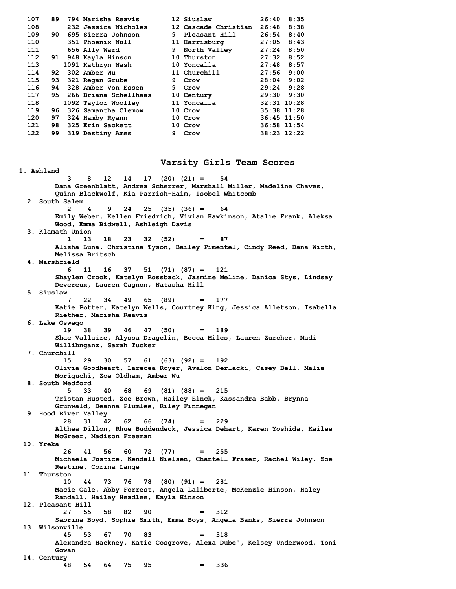| 107 | 89  | 794 Marisha Reavis    |    | 12 Siuslaw           | 26:40          | 8:35            |
|-----|-----|-----------------------|----|----------------------|----------------|-----------------|
| 108 |     | 232 Jessica Nicholes  |    | 12 Cascade Christian | 26:48          | 8:38            |
| 109 | 90. | 695 Sierra Johnson    | 9  | Pleasant Hill        | 26:54          | 8:40            |
| 110 |     | 351 Phoenix Null      |    | 11 Harrisburg        | 27:05          | 8:43            |
| 111 |     | 656 Ally Ward         | 9  | North Valley         | 27:24          | 8:50            |
| 112 | 91  | 948 Kayla Hinson      |    | 10 Thurston          | 27:32          | 8:52            |
| 113 |     | 1091 Kathryn Nash     |    | 10 Yoncalla          | 27:48          | 8:57            |
| 114 | 92  | 302 Amber Wu          |    | 11 Churchill         | 27:56          | 9:00            |
| 115 | 93  | 321 Regan Grube       | 9. | Crow                 | 28:04          | 9:02            |
| 116 | 94  | 328 Amber Von Essen   | 9  | Crow                 |                | $29:24$ $9:28$  |
| 117 | 95. | 266 Briana Schellhaas |    | 10 Century           | $29:30$ $9:30$ |                 |
| 118 |     | 1092 Taylor Woolley   |    | 11 Yoncalla          |                | $32:31$ $10:28$ |
| 119 | 96. | 326 Samantha Clemow   |    | 10 Crow              |                | $35:38$ 11:28   |
| 120 | 97  | 324 Hamby Ryann       |    | 10 Crow              |                | $36:45$ 11:50   |
| 121 | 98  | 325 Erin Sackett      |    | 10 Crow              |                | 36:58 11:54     |
| 122 | 99  | 319 Destiny Ames      | 9  | Crow                 |                | 38:23 12:22     |
|     |     |                       |    |                      |                |                 |

**1. Ashland**

### **Varsity Girls Team Scores**

 **3 8 12 14 17 (20) (21) = 54 Dana Greenblatt, Andrea Scherrer, Marshall Miller, Madeline Chaves, Quinn Blackwolf, Kia Parrish-Haim, Isobel Whitcomb 2. South Salem 2 4 9 24 25 (35) (36) = 64 Emily Weber, Kellen Friedrich, Vivian Hawkinson, Atalie Frank, Aleksa Wood, Emma Bidwell, Ashleigh Davis 3. Klamath Union 1 13 18 23 32 (52) = 87 Alisha Luna, Christina Tyson, Bailey Pimentel, Cindy Reed, Dana Wirth, Melissa Britsch 4. Marshfield 6 11 16 37 51 (71) (87) = 121 Shaylen Crook, Katelyn Rossback, Jasmine Meline, Danica Stys, Lindsay Devereux, Lauren Gagnon, Natasha Hill 5. Siuslaw 7 22 34 49 65 (89) = 177 Katie Potter, Katelyn Wells, Courtney King, Jessica Alletson, Isabella Riether, Marisha Reavis 6. Lake Oswego 19 38 39 46 47 (50) = 189 Shae Vallaire, Alyssa Dragelin, Becca Miles, Lauren Zurcher, Madi Willihnganz, Sarah Tucker 7. Churchill 15 29 30 57 61 (63) (92) = 192 Olivia Goodheart, Larecea Royer, Avalon Derlacki, Casey Bell, Malia Moriguchi, Zoe Oldham, Amber Wu 8. South Medford 5 33 40 68 69 (81) (88) = 215 Tristan Husted, Zoe Brown, Hailey Einck, Kassandra Babb, Brynna Grunwald, Deanna Plumlee, Riley Finnegan 9. Hood River Valley 28 31 42 62 66 (74) = 229 Althea Dillon, Rhue Buddendeck, Jessica Dehart, Karen Yoshida, Kailee McGreer, Madison Freeman 10. Yreka 26 41 56 60 72 (77) = 255 Michaela Justice, Kendall Nielsen, Chantell Fraser, Rachel Wiley, Zoe Restine, Corina Lange 11. Thurston 10 44 73 76 78 (80) (91) = 281 Macie Gale, Abby Forrest, Angela Laliberte, McKenzie Hinson, Haley Randall, Hailey Headlee, Kayla Hinson 12. Pleasant Hill 27 55 58 82 90 = 312 Sabrina Boyd, Sophie Smith, Emma Boys, Angela Banks, Sierra Johnson 13. Wilsonville 45 53 67 70 83 = 318 Alexandra Hackney, Katie Cosgrove, Alexa Dube', Kelsey Underwood, Toni Gowan 14. Century 48 54 64 75 95 = 336**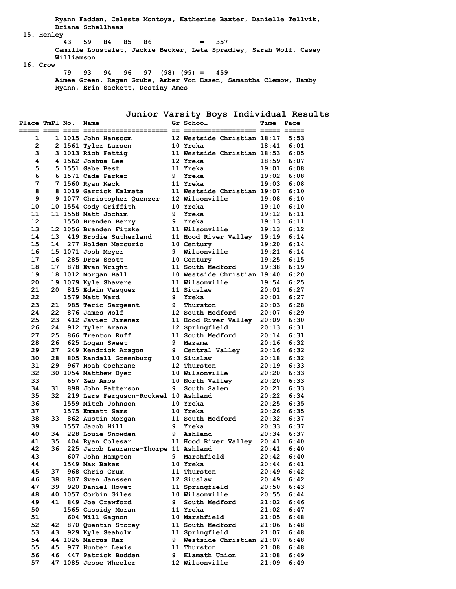**Ryann Fadden, Celeste Montoya, Katherine Baxter, Danielle Tellvik, Briana Schellhaas**

 **15. Henley**

```
 43 59 84 85 86 = 357
      Camille Loustalet, Jackie Becker, Leta Spradley, Sarah Wolf, Casey
      Williamson
16. Crow
```

```
 79 93 94 96 97 (98) (99) = 459
Aimee Green, Regan Grube, Amber Von Essen, Samantha Clemow, Hamby
Ryann, Erin Sackett, Destiny Ames
```
# **Junior Varsity Boys Individual Results**

| Place TmPl No. |    | Name                                 |    | Gr School                   | Time   | Pace |
|----------------|----|--------------------------------------|----|-----------------------------|--------|------|
|                |    |                                      |    |                             | === == |      |
| 1              |    | 1 1015 John Hanscom                  |    | 12 Westside Christian 18:17 |        | 5:53 |
| $\overline{2}$ |    | 2 1561 Tyler Larsen                  |    | 10 Yreka                    | 18:41  | 6:01 |
| 3              |    | 3 1013 Rich Fettig                   |    | 11 Westside Christian 18:53 |        | 6:05 |
| 4              |    | 4 1562 Joshua Lee                    |    | 12 Yreka                    | 18:59  | 6:07 |
| 5              |    | 5 1551 Gabe Best                     |    | 11 Yreka                    | 19:01  | 6:08 |
| 6              |    | 6 1571 Cade Parker                   | 9  | Yreka                       | 19:02  | 6:08 |
| 7              |    | 7 1560 Ryan Keck                     |    | 11 Yreka                    | 19:03  | 6:08 |
| 8              |    | 8 1019 Garrick Kalmeta               |    | 11 Westside Christian 19:07 |        | 6:10 |
| 9              |    | 9 1077 Christopher Quenzer           |    | 12 Wilsonville              | 19:08  | 6:10 |
| 10             |    | 10 1554 Cody Griffith                |    | 10 Yreka                    | 19:10  | 6:10 |
| 11             |    | 11 1558 Matt Jochim                  | 9. | Yreka                       | 19:12  | 6:11 |
| 12             |    | 1550 Brenden Berry                   | 9  | Yreka                       | 19:13  | 6:11 |
| 13             |    | 12 1056 Branden Fitzke               |    | 11 Wilsonville              | 19:13  | 6:12 |
| 14             | 13 | 419 Brodie Sutherland                |    | 11 Hood River Valley        | 19:19  | 6:14 |
| 15             | 14 | 277 Holden Mercurio                  |    | 10 Century                  | 19:20  | 6:14 |
| 16             |    | 15 1071 Josh Meyer                   |    | 9 Wilsonville               | 19:21  | 6:14 |
| 17             | 16 | 285 Drew Scott                       |    | 10 Century                  | 19:25  | 6:15 |
| 18             | 17 | 878 Evan Wright                      |    | 11 South Medford            | 19:38  | 6:19 |
| 19             |    | 18 1012 Morgan Ball                  |    | 10 Westside Christian 19:40 |        | 6:20 |
| 20             |    | 19 1079 Kyle Shavere                 |    | 11 Wilsonville              | 19:54  | 6:25 |
| 21             | 20 | 815 Edwin Vasquez                    |    | 11 Siuslaw                  | 20:01  | 6:27 |
| 22             |    | 1579 Matt Ward                       |    | 9 Yreka                     | 20:01  | 6:27 |
| 23             | 21 | 985 Teric Sargeant                   | 9  | Thurston                    | 20:03  | 6:28 |
| 24             | 22 | 876 James Wolf                       |    | 12 South Medford            | 20:07  | 6:29 |
| 25             | 23 | 412 Javier Jimenez                   |    | 11 Hood River Valley        | 20:09  | 6:30 |
| 26             | 24 | 912 Tyler Arana                      |    | 12 Springfield              | 20:13  | 6:31 |
| 27             | 25 | 866 Trenton Ruff                     |    | 11 South Medford            | 20:14  | 6:31 |
| 28             | 26 | 625 Logan Sweet                      |    | 9 Mazama                    | 20:16  | 6:32 |
| 29             | 27 | 249 Kendrick Aragon                  |    | 9 Central Valley            | 20:16  | 6:32 |
| 30             | 28 | 805 Randall Greenburg                |    | 10 Siuslaw                  | 20:18  | 6:32 |
| 31             | 29 | 967 Noah Cochrane                    |    | 12 Thurston                 | 20:19  | 6:33 |
| 32             |    | 30 1054 Matthew Dyer                 |    | 10 Wilsonville              | 20:20  | 6:33 |
| 33             |    | 657 Zeb Amos                         |    | 10 North Valley             | 20:20  | 6:33 |
| 34             | 31 | 898 John Patterson                   | 9  | South Salem                 | 20:21  | 6:33 |
| 35             | 32 | 219 Lars Ferguson-Rockwel 10 Ashland |    |                             | 20:22  | 6:34 |
| 36             |    | 1559 Mitch Johnson                   |    | 10 Yreka                    | 20:25  | 6:35 |
| 37             |    | 1575 Emmett Sams                     |    | 10 Yreka                    | 20:26  | 6:35 |
| 38             |    | 33 862 Austin Morgan                 |    | 11 South Medford            | 20:32  | 6:37 |
| 39             |    | 1557 Jacob Hill                      |    | 9 Yreka                     | 20:33  | 6:37 |
| 40             |    | 34 228 Louie Snowden                 | 9  | Ashland                     | 20:34  | 6:37 |
| 41             | 35 | 404 Ryan Colesar                     |    | 11 Hood River Valley        | 20:41  | 6:40 |
| 42             | 36 | 225 Jacob Laurance-Thorpe 11 Ashland |    |                             | 20:41  | 6:40 |
| 43             |    | 607 John Hampton                     | 9  | Marshfield                  | 20:42  | 6:40 |
| 44             |    | 1549 Max Bakes                       |    | 10 Yreka                    | 20:44  | 6:41 |
| 45             | 37 | 968 Chris Crum                       |    | 11 Thurston                 | 20:49  | 6:42 |
| 46             | 38 | 807 Sven Janssen                     |    | 12 Siuslaw                  | 20:49  | 6:42 |
| 47             | 39 | 920 Daniel Hovet                     |    | 11 Springfield              | 20:50  | 6:43 |
| 48             |    | 40 1057 Corbin Giles                 |    | 10 Wilsonville              | 20:55  | 6:44 |
| 49             | 41 | 849 Joe Crawford                     | 9  | South Medford               | 21:02  | 6:46 |
| 50             |    | 1565 Cassidy Moran                   |    | 11 Yreka                    | 21:02  | 6:47 |
| 51             |    | 604 Will Gagnon                      |    | 10 Marshfield               | 21:05  | 6:48 |
| 52             | 42 | 870 Quentin Storey                   |    | 11 South Medford            | 21:06  | 6:48 |
| 53             | 43 | 929 Kyle Seaholm                     |    | 11 Springfield              | 21:07  | 6:48 |
| 54             |    | 44 1026 Marcus Raz                   | 9  | Westside Christian 21:07    |        | 6:48 |
| 55             | 45 | 977 Hunter Lewis                     |    | 11 Thurston                 | 21:08  | 6:48 |
| 56             | 46 | 447 Patrick Budden                   | 9  | Klamath Union               | 21:08  | 6:49 |
| 57             |    | 47 1085 Jesse Wheeler                |    | 12 Wilsonville              | 21:09  | 6:49 |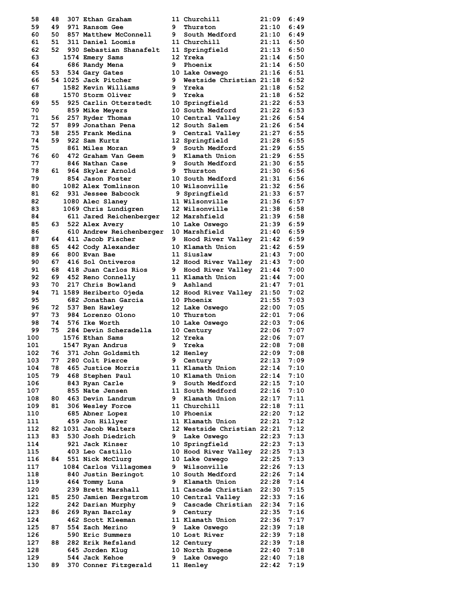| 58  | 48 | 307 Ethan Graham           |                | 11 Churchill                | 21:09        | 6:49 |
|-----|----|----------------------------|----------------|-----------------------------|--------------|------|
| 59  | 49 | 971 Ransom Gee             | 9              | Thurston                    | 21:10        | 6:49 |
| 60  | 50 | 857 Matthew McConnell      | 9              | South Medford               | 21:10        | 6:49 |
| 61  | 51 | 311 Daniel Loomis          |                | 11 Churchill                | 21:11        | 6:50 |
| 62  |    | 52 930 Sebastian Shanafelt |                | 11 Springfield              | 21:13        | 6:50 |
| 63  |    | 1574 Emery Sams            |                | 12 Yreka                    | 21:14        | 6:50 |
| 64  |    | 686 Randy Mena             | 9.             | Phoenix                     | 21:14        | 6:50 |
|     |    |                            |                |                             | 21:16        | 6:51 |
| 65  |    | 53 534 Gary Gates          |                | 10 Lake Oswego              |              |      |
| 66  |    | 54 1025 Jack Pitcher       | 9              | Westside Christian 21:18    |              | 6:52 |
| 67  |    | 1582 Kevin Williams        | 9              | Yreka                       | 21:18        | 6:52 |
| 68  |    | 1570 Storm Oliver          | 9              | Yreka                       | 21:18        | 6:52 |
| 69  | 55 | 925 Carlin Otterstedt      |                | 10 Springfield              | $21:22$ 6:53 |      |
| 70  |    | 859 Mike Meyers            |                | 10 South Medford            | 21:22        | 6:53 |
| 71  | 56 | 257 Ryder Thomas           |                | 10 Central Valley           | 21:26        | 6:54 |
| 72  | 57 | 899 Jonathan Pena          |                | 12 South Salem              | 21:26        | 6:54 |
| 73  | 58 | 255 Frank Medina           | 9              | Central Valley              | 21:27        | 6:55 |
| 74  | 59 | 922 Sam Kurtz              |                | 12 Springfield              | 21:28        | 6:55 |
| 75  |    | 861 Miles Moran            | 9              | South Medford               | 21:29        | 6:55 |
| 76  | 60 | 472 Graham Van Geem        |                | 9 Klamath Union             | $21:29$ 6:55 |      |
| 77  |    | 846 Nathan Case            | 9              | South Medford               | 21:30        | 6:55 |
| 78  |    | 61 964 Skyler Arnold       | 9.             | Thurston                    | 21:30        | 6:56 |
| 79  |    | 854 Jason Foster           |                | 10 South Medford            | 21:31        | 6:56 |
| 80  |    | 1082 Alex Tomlinson        |                | 10 Wilsonville              | 21:32        | 6:56 |
| 81  |    | 62 931 Jessee Babcock      |                | 9 Springfield               | 21:33        | 6:57 |
| 82  |    | 1080 Alec Slaney           |                | 11 Wilsonville              | 21:36        | 6:57 |
| 83  |    | 1069 Chris Lundigren       |                | 12 Wilsonville              | 21:38        | 6:58 |
|     |    |                            |                |                             |              | 6:58 |
| 84  |    | 611 Jared Reichenberger    |                | 12 Marshfield               | 21:39        |      |
| 85  |    | 63 522 Alex Avery          |                | 10 Lake Oswego              | 21:39        | 6:59 |
| 86  |    | 610 Andrew Reichenberger   |                | 10 Marshfield               | $21:40$ 6:59 |      |
| 87  | 64 | 411 Jacob Fischer          | 9              | Hood River Valley 21:42     |              | 6:59 |
| 88  | 65 | 442 Cody Alexander         |                | 10 Klamath Union            | 21:42        | 6:59 |
| 89  | 66 | 800 Evan Bae               |                | 11 Siuslaw                  | 21:43        | 7:00 |
| 90  | 67 | 416 Sol Ontiveros          |                | 12 Hood River Valley 21:43  |              | 7:00 |
| 91  | 68 | 418 Juan Carlos Rios       | 9              | Hood River Valley 21:44     |              | 7:00 |
| 92  |    | 69 452 Reno Connelly       |                | 11 Klamath Union            | 21:44        | 7:00 |
| 93  | 70 | 217 Chris Bowland          |                | 9 Ashland                   | 21:47        | 7:01 |
| 94  |    | 71 1589 Heriberto Ojeda    |                | 12 Hood River Valley 21:50  |              | 7:02 |
| 95  |    | 682 Jonathan Garcia        |                | 10 Phoenix                  | 21:55        | 7:03 |
| 96  | 72 | 537 Ben Hawley             |                | 12 Lake Oswego              | 22:00        | 7:05 |
| 97  | 73 | 984 Lorenzo Olono          |                | 10 Thurston                 | 22:01        | 7:06 |
| 98  | 74 | 576 Ike Worth              |                | 10 Lake Oswego              | 22:03        | 7:06 |
| 99  | 75 | 284 Devin Scheradella      |                | 10 Century                  | 22:06        | 7:07 |
| 100 |    | 1576 Ethan Sams            |                | 12 Yreka                    | 22:06        | 7:07 |
| 101 |    | 1547 Ryan Andrus           |                | Yreka                       | 22:08        | 7:08 |
|     | 76 | 371 John Goldsmith         | 9 <sub>o</sub> |                             |              | 7:08 |
| 102 |    |                            |                | 12 Henley                   | 22:09        |      |
| 103 | 77 | 280 Colt Pierce            | 9.             | Century                     | 22:13        | 7:09 |
| 104 | 78 | 465 Justice Morris         |                | 11 Klamath Union            | 22:14        | 7:10 |
| 105 | 79 | 468 Stephen Paul           |                | 10 Klamath Union            | 22:14        | 7:10 |
| 106 |    | 843 Ryan Carle             |                | 9 South Medford             | 22:15        | 7:10 |
| 107 |    | 855 Nate Jensen            |                | 11 South Medford            | 22:16        | 7:10 |
| 108 | 80 | 463 Devin Landrum          |                | 9 Klamath Union             | 22:17        | 7:11 |
| 109 | 81 | 306 Wesley Force           |                | 11 Churchill                | 22:18        | 7:11 |
| 110 |    | 685 Abner Lopez            |                | 10 Phoenix                  | 22:20        | 7:12 |
| 111 |    | 459 Jon Hillyer            |                | 11 Klamath Union            | 22:21        | 7:12 |
| 112 |    | 82 1031 Jacob Walters      |                | 12 Westside Christian 22:21 |              | 7:12 |
| 113 | 83 | 530 Josh Diedrich          | 9              | Lake Oswego                 | 22:23        | 7:13 |
| 114 |    | 921 Jack Kinser            |                | 10 Springfield              | 22:23        | 7:13 |
| 115 |    | 403 Leo Castillo           |                | 10 Hood River Valley 22:25  |              | 7:13 |
| 116 | 84 | 551 Nick McClurg           |                | 10 Lake Oswego              | 22:25        | 7:13 |
| 117 |    | 1084 Carlos Villagomes     | 9              | Wilsonville                 | 22:26        | 7:13 |
| 118 |    | 840 Justin Beringot        |                | <b>10 South Medford</b>     | 22:26        | 7:14 |
| 119 |    | 464 Tommy Luna             |                | 9 Klamath Union             | 22:28        | 7:14 |
| 120 |    | 239 Brett Marshall         |                | 11 Cascade Christian 22:30  |              | 7:15 |
| 121 |    |                            |                |                             |              | 7:16 |
|     | 85 | 250 Jamien Bergstrom       |                | 10 Central Valley           | 22:33        |      |
| 122 |    | 242 Darian Murphy          |                | 9 Cascade Christian         | 22:34        | 7:16 |
| 123 | 86 | 269 Ryan Barclay           | 9              | Century                     | 22:35        | 7:16 |
| 124 |    | 462 Scott Kleeman          |                | 11 Klamath Union            | 22:36        | 7:17 |
| 125 | 87 | 554 Zach Merino            |                | 9 Lake Oswego               | 22:39        | 7:18 |
| 126 |    | 590 Eric Summers           |                | 10 Lost River               | 22:39        | 7:18 |
| 127 | 88 | 282 Erik Refsland          |                | 12 Century                  | 22:39        | 7:18 |
| 128 |    | 645 Jorden Klug            |                | 10 North Eugene             | 22:40        | 7:18 |
| 129 |    | 544 Jack Kehoe             | 9              | Lake Oswego                 | 22:40        | 7:18 |
| 130 | 89 | 370 Conner Fitzgerald      |                | 11 Henley                   | 22:42        | 7:19 |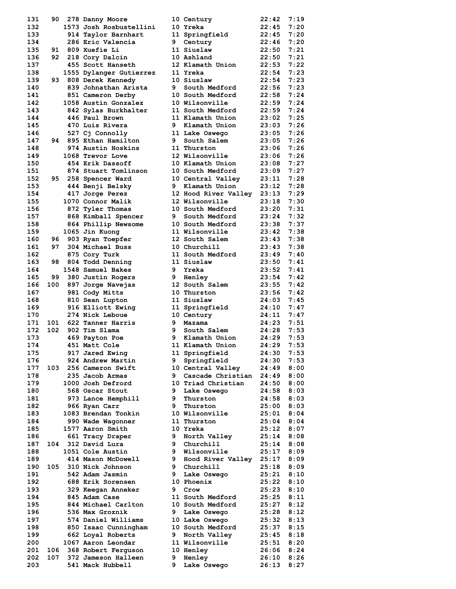| 131        | 90   | 278 Danny Moore                           |    | 10 Century                         | 22:42          | 7:19         |
|------------|------|-------------------------------------------|----|------------------------------------|----------------|--------------|
| 132        |      | 1573 Josh Rosbustellini                   |    | 10 Yreka                           | 22:45          | 7:20         |
| 133        |      | 914 Taylor Barnhart                       |    | 11 Springfield                     | 22:45          | 7:20         |
| 134        |      | 286 Eric Valencia                         | 9  | Century                            | 22:46          | 7:20         |
| 135        | 91   | <b>809 Xuefie Li</b>                      |    | 11 Siuslaw                         | 22:50          | 7:21         |
| 136        | 92   | 218 Cory Dalcin                           |    | 10 Ashland                         | 22:50          | 7:21         |
| 137        |      | 455 Scott Hanseth                         |    | 12 Klamath Union                   | 22:53          | 7:22         |
| 138        |      | 1555 Dylanger Gutierrez                   |    | 11 Yreka                           | 22:54          | 7:23         |
| 139<br>140 | 93   | 808 Derek Kennedy<br>839 Johnathan Arista | 9  | 10 Siuslaw<br>South Medford        | 22:54<br>22:56 | 7:23<br>7:23 |
| 141        |      | 851 Cameron Derby                         |    | 10 South Medford                   | 22:58          | 7:24         |
| 142        |      | 1058 Austin Gonzalez                      |    | 10 Wilsonville                     | 22:59          | 7:24         |
| 143        |      | 842 Sylas Burkhalter                      |    | 11 South Medford                   | 22:59          | 7:24         |
| 144        |      | 446 Paul Brown                            |    | 11 Klamath Union                   | 23:02          | 7:25         |
| 145        |      | 470 Luis Rivera                           | 9  | Klamath Union                      | 23:03          | 7:26         |
| 146        |      | 527 Cj Connolly                           |    | 11 Lake Oswego                     | 23:05          | 7:26         |
| 147        |      | 94 895 Ethan Hamilton                     | 9  | South Salem                        | 23:05          | 7:26         |
| 148        |      | 974 Austin Hoskins                        |    | 11 Thurston                        | 23:06          | 7:26         |
| 149        |      | 1068 Trevor Love                          |    | 12 Wilsonville                     | 23:06          | 7:26         |
| 150        |      | 454 Erik Dassoff                          |    | 10 Klamath Union                   | 23:08          | 7:27         |
| 151        |      | 874 Stuart Tomlinson                      |    | <b>10 South Medford</b>            | 23:09          | 7:27         |
| 152        |      | 95 258 Spencer Ward                       |    | 10 Central Valley                  | 23:11          | 7:28         |
| 153        |      | 444 Benji Belsky                          |    | 9 Klamath Union                    | 23:12          | 7:28         |
| 154        |      | 417 Jorge Perez                           |    | 12 Hood River Valley               | 23:13          | 7:29         |
| 155<br>156 |      | 1070 Connor Malik                         |    | 12 Wilsonville<br>10 South Medford | 23:18<br>23:20 | 7:30<br>7:31 |
| 157        |      | 872 Tyler Thomas<br>868 Kimball Spencer   | 9  | South Medford                      | 23:24          | 7:32         |
| 158        |      | 864 Phillip Newsome                       |    | 10 South Medford                   | 23:38          | 7:37         |
| 159        |      | 1065 Jin Kuong                            |    | 11 Wilsonville                     | 23:42          | 7:38         |
| 160        | 96 - | 903 Ryan Toepfer                          |    | 12 South Salem                     | 23:43          | 7:38         |
| 161        | 97   | 304 Michael Buss                          |    | 10 Churchill                       | 23:43          | 7:38         |
| 162        |      | 875 Cory Turk                             |    | 11 South Medford                   | 23:49          | 7:40         |
| 163        | 98   | 804 Todd Denning                          |    | 11 Siuslaw                         | 23:50          | 7:41         |
| 164        |      | 1548 Samuel Bakes                         |    | 9 Yreka                            | 23:52          | 7:41         |
| 165        | 99   | 380 Justin Rogers                         |    | <b>9</b> Henley                    | 23:54          | 7:42         |
| 166        |      | 100 897 Jorge Navejas                     |    | 12 South Salem                     | 23:55          | 7:42         |
| 167        |      | 981 Cody Mitts                            |    | 10 Thurston                        | 23:56          | 7:42         |
| 168        |      | 810 Sean Lupton                           |    | 11 Siuslaw                         | 24:03          | 7:45         |
| 169        |      | 916 Elliott Ewing                         |    | 11 Springfield                     | 24:10          | 7:47         |
| 170        |      | 274 Nick Leboue<br>101 622 Tanner Harris  | 9. | 10 Century                         | 24:11          | 7:47         |
| 171<br>172 | 102  | 902 Tim Slama                             | 9  | Mazama<br>South Salem              | 24:23<br>24:28 | 7:51<br>7:53 |
| 173        |      | 469 Payton Poe                            | 9. | Klamath Union                      | 24:29          | 7:53         |
| 174        |      | 451 Matt Cole                             |    | 11 Klamath Union                   | 24:29          | 7:53         |
| 175        |      | 917 Jared Ewing                           |    | 11 Springfield                     | 24:30          | 7:53         |
| 176        |      | 924 Andrew Martin                         | 9. | Springfield                        | 24:30          | 7:53         |
| 177        | 103  | 256 Cameron Swift                         |    | 10 Central Valley                  | 24:49          | 8:00         |
| 178        |      | 235 Jacob Armas                           | 9. | Cascade Christian                  | 24:49          | 8:00         |
| 179        |      | 1000 Josh Defrord                         |    | 10 Triad Christian                 | 24:50          | 8:00         |
| 180        |      | 568 Oscar Stout                           | 9. | Lake Oswego                        | 24:58          | 8:03         |
| 181        |      | 973 Lance Hemphill                        | 9  | Thurston                           | 24:58          | 8:03         |
| 182        |      | 966 Ryan Carr                             | 9  | Thurston                           | 25:00          | 8:03         |
| 183        |      | 1083 Brendan Tonkin                       |    | 10 Wilsonville                     | 25:01          | 8:04         |
| 184<br>185 |      | 990 Wade Wagonner                         |    | 11 Thurston<br>10 Yreka            | 25:04<br>25:12 | 8:04<br>8:07 |
| 186        |      | 1577 Aaron Smith<br>661 Tracy Draper      | 9  | North Valley                       | 25:14          | 8:08         |
| 187        | 104  | 312 David Lura                            | 9. | Churchill                          | 25:14          | 8:08         |
| 188        |      | 1051 Cole Austin                          | 9  | Wilsonville                        | 25:17          | 8:09         |
| 189        |      | 414 Mason McDowell                        | 9  | Hood River Valley                  | 25:17          | 8:09         |
| 190        | 105  | 310 Nick Johnson                          | 9  | Churchill                          | 25:18          | 8:09         |
| 191        |      | 542 Adam Jasmin                           | 9  | Lake Oswego                        | 25:21          | 8:10         |
| 192        |      | 688 Erik Sorensen                         |    | 10 Phoenix                         | 25:22          | 8:10         |
| 193        |      | 329 Keegan Anneker                        | 9  | Crow                               | 25:23          | 8:10         |
| 194        |      | 845 Adam Case                             |    | 11 South Medford                   | 25:25          | 8:11         |
| 195        |      | 844 Michael Carlton                       |    | 10 South Medford                   | 25:27          | 8:12         |
| 196        |      | 536 Max Groznik                           | 9  | Lake Oswego                        | 25:28          | 8:12         |
| 197        |      | 574 Daniel Williams                       |    | 10 Lake Oswego                     | 25:32          | 8:13         |
| 198<br>199 |      | 850 Isaac Cunningham<br>662 Loyal Roberts | 9  | 10 South Medford<br>North Valley   | 25:37<br>25:45 | 8:15<br>8:18 |
| 200        |      | 1067 Aaron Leondar                        |    | 11 Wilsonville                     | 25:51          | 8:20         |
| 201        | 106  | 368 Robert Ferguson                       |    | <b>10 Henley</b>                   | 26:06          | 8:24         |
| 202        | 107  | 372 Jameson Halleen                       | 9  | Henley                             | 26:10          | 8:26         |
| 203        |      | 541 Mack Hubbell                          | 9  | Lake Oswego                        | 26:13          | 8:27         |
|            |      |                                           |    |                                    |                |              |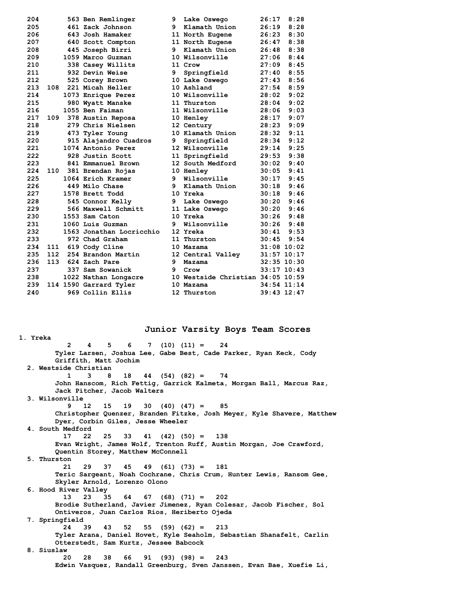| 204 |     | 563 Ben Remlinger        | 9  | Lake Oswego                       | 26:17           | 8:28 |
|-----|-----|--------------------------|----|-----------------------------------|-----------------|------|
| 205 |     | 461 Zack Johnson         | 9  | Klamath Union                     | 26:19           | 8:28 |
| 206 |     | 643 Josh Hamaker         |    | 11 North Eugene                   | 26:23           | 8:30 |
| 207 |     | 640 Scott Compton        |    | 11 North Eugene                   | 26:47           | 8:38 |
| 208 |     | 445 Joseph Birri         | 9. | Klamath Union                     | 26:48           | 8:38 |
| 209 |     | 1059 Marco Guzman        |    | 10 Wilsonville                    | 27:06           | 8:44 |
| 210 |     | 338 Casey Willits        |    | 11 Crow                           | 27:09           | 8:45 |
| 211 |     | 932 Devin Weise          | 9  | Springfield                       | 27:40           | 8:55 |
| 212 |     | 525 Corey Brown          |    | 10 Lake Oswego                    | 27:43           | 8:56 |
| 213 | 108 | 221 Micah Heller         |    | 10 Ashland                        | 27:54           | 8:59 |
| 214 |     | 1073 Enrique Perez       |    | 10 Wilsonville                    | 28:02           | 9:02 |
| 215 |     | 980 Wyatt Manske         |    | 11 Thurston                       | 28:04           | 9:02 |
| 216 |     | 1055 Ben Faiman          |    | 11 Wilsonville                    | 28:06           | 9:03 |
| 217 | 109 | 378 Austin Reposa        |    | 10 Henley                         | 28:17           | 9:07 |
| 218 |     | 279 Chris Nielsen        |    | 12 Century                        | 28:23           | 9:09 |
| 219 |     | 473 Tyler Young          |    | 10 Klamath Union                  | 28:32           | 9:11 |
| 220 |     | 915 Alajandro Cuadros    | 9  | Springfield                       | 28:34           | 9:12 |
| 221 |     | 1074 Antonio Perez       |    | 12 Wilsonville                    | 29:14           | 9:25 |
| 222 |     | 928 Justin Scott         |    | 11 Springfield                    | 29:53           | 9:38 |
| 223 |     | 841 Emmanuel Brown       |    | 12 South Medford                  | 30:02           | 9:40 |
| 224 | 110 | 381 Brendan Rojas        |    | 10 Henley                         | 30:05           | 9:41 |
| 225 |     | 1064 Erich Kramer        | 9  | Wilsonville                       | 30:17           | 9:45 |
| 226 |     | 449 Milo Chase           | 9. | Klamath Union                     | 30:18           | 9:46 |
| 227 |     | 1578 Brett Todd          |    | 10 Yreka                          | 30:18           | 9:46 |
| 228 |     | 545 Connor Kelly         | 9  | Lake Oswego                       | 30:20           | 9:46 |
| 229 |     | 566 Maxwell Schmitt      |    | 11 Lake Oswego                    | 30:20           | 9:46 |
| 230 |     | 1553 Sam Caton           |    | 10 Yreka                          | 30:26           | 9:48 |
| 231 |     | 1060 Luis Guzman         | 9  | Wilsonville                       | 30:26           | 9:48 |
| 232 |     | 1563 Jonathan Locricchio |    | 12 Yreka                          | 30:41           | 9:53 |
| 233 |     | 972 Chad Graham          |    | 11 Thurston                       | 30:45           | 9:54 |
| 234 | 111 | 619 Cody Cline           |    | 10 Mazama                         | $31:08$ 10:02   |      |
| 235 | 112 | 254 Brandon Martin       |    | 12 Central Valley                 | $31:57$ $10:17$ |      |
| 236 | 113 | 624 Zach Pare            | 9  | Mazama                            | $32:35$ 10:30   |      |
| 237 |     | 337 Sam Sowanick         | 9  | Crow                              | $33:17$ $10:43$ |      |
| 238 |     | 1022 Nathan Longacre     |    | 10 Westside Christian 34:05 10:59 |                 |      |
| 239 |     | 114 1590 Garrard Tyler   |    | 10 Mazama                         | 34:54 11:14     |      |
| 240 |     | 969 Collin Ellis         |    | 12 Thurston                       | $39:43$ $12:47$ |      |

**1. Yreka**

## **Junior Varsity Boys Team Scores**

 **2 4 5 6 7 (10) (11) = 24 Tyler Larsen, Joshua Lee, Gabe Best, Cade Parker, Ryan Keck, Cody Griffith, Matt Jochim 2. Westside Christian 1 3 8 18 44 (54) (82) = 74 John Hanscom, Rich Fettig, Garrick Kalmeta, Morgan Ball, Marcus Raz, Jack Pitcher, Jacob Walters 3. Wilsonville 9 12 15 19 30 (40) (47) = 85 Christopher Quenzer, Branden Fitzke, Josh Meyer, Kyle Shavere, Matthew Dyer, Corbin Giles, Jesse Wheeler 4. South Medford 17 22 25 33 41 (42) (50) = 138 Evan Wright, James Wolf, Trenton Ruff, Austin Morgan, Joe Crawford, Quentin Storey, Matthew McConnell 5. Thurston 21 29 37 45 49 (61) (73) = 181 Teric Sargeant, Noah Cochrane, Chris Crum, Hunter Lewis, Ransom Gee, Skyler Arnold, Lorenzo Olono 6. Hood River Valley 13 23 35 64 67 (68) (71) = 202 Brodie Sutherland, Javier Jimenez, Ryan Colesar, Jacob Fischer, Sol Ontiveros, Juan Carlos Rios, Heriberto Ojeda 7. Springfield 24 39 43 52 55 (59) (62) = 213 Tyler Arana, Daniel Hovet, Kyle Seaholm, Sebastian Shanafelt, Carlin Otterstedt, Sam Kurtz, Jessee Babcock 8. Siuslaw 20 28 38 66 91 (93) (98) = 243 Edwin Vasquez, Randall Greenburg, Sven Janssen, Evan Bae, Xuefie Li,**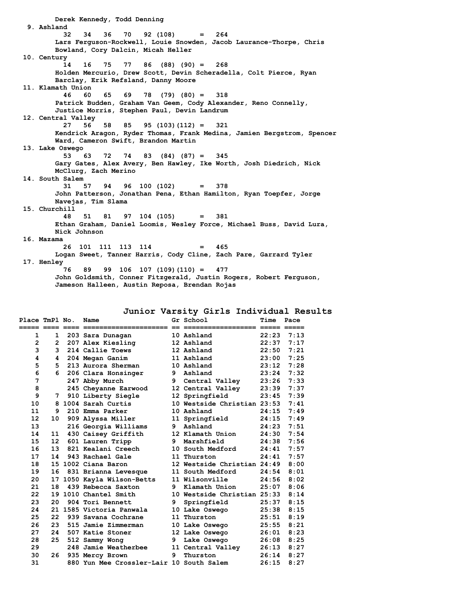**Derek Kennedy, Todd Denning 9. Ashland 32 34 36 70 92 (108) = 264 Lars Ferguson-Rockwell, Louie Snowden, Jacob Laurance-Thorpe, Chris Bowland, Cory Dalcin, Micah Heller 10. Century 14 16 75 77 86 (88) (90) = 268 Holden Mercurio, Drew Scott, Devin Scheradella, Colt Pierce, Ryan Barclay, Erik Refsland, Danny Moore 11. Klamath Union 46 60 65 69 78 (79) (80) = 318 Patrick Budden, Graham Van Geem, Cody Alexander, Reno Connelly, Justice Morris, Stephen Paul, Devin Landrum 12. Central Valley 27 56 58 85 95 (103)(112) = 321 Kendrick Aragon, Ryder Thomas, Frank Medina, Jamien Bergstrom, Spencer Ward, Cameron Swift, Brandon Martin 13. Lake Oswego 53 63 72 74 83 (84) (87) = 345 Gary Gates, Alex Avery, Ben Hawley, Ike Worth, Josh Diedrich, Nick McClurg, Zach Merino 14. South Salem 31 57 94 96 100 (102) = 378 John Patterson, Jonathan Pena, Ethan Hamilton, Ryan Toepfer, Jorge Navejas, Tim Slama 15. Churchill 48 51 81 97 104 (105) = 381 Ethan Graham, Daniel Loomis, Wesley Force, Michael Buss, David Lura, Nick Johnson 16. Mazama 26 101 111 113 114 = 465 Logan Sweet, Tanner Harris, Cody Cline, Zach Pare, Garrard Tyler 17. Henley 76 89 99 106 107 (109)(110) = 477 John Goldsmith, Conner Fitzgerald, Justin Rogers, Robert Ferguson, Jameson Halleen, Austin Reposa, Brendan Rojas**

|  |  |  | Junior Varsity Girls Individual Results |  |
|--|--|--|-----------------------------------------|--|
|--|--|--|-----------------------------------------|--|

| Place TmPl No.    |                      | Name                                     |    | Gr School                   | Time  | Pace |
|-------------------|----------------------|------------------------------------------|----|-----------------------------|-------|------|
| 1                 | 1                    | 203 Sara Dunagan                         |    | 10 Ashland                  | 22:23 | 7:13 |
| $\overline{2}$    | $\mathbf{2}^{\circ}$ | 207 Alex Kiesling                        |    | 12 Ashland                  | 22:37 | 7:17 |
| 3                 | 3                    | 214 Callie Toews                         |    | 12 Ashland                  | 22:50 | 7:21 |
| 4                 | 4                    | 204 Megan Ganim                          |    | 11 Ashland                  | 23:00 | 7:25 |
| 5                 | 5.                   | 213 Aurora Sherman                       |    | 10 Ashland                  | 23:12 | 7:28 |
| 6                 | 6                    | 206 Clara Honsinger                      | 9  | Ashland                     | 23:24 | 7:32 |
| 7                 |                      | 247 Abby Murch                           |    | 9 Central Valley            | 23:26 | 7:33 |
| 8                 |                      | 245 Cheyanne Earwood                     |    | 12 Central Valley           | 23:39 | 7:37 |
| 9                 | 7                    | 910 Liberty Siegle                       |    | 12 Springfield              | 23:45 | 7:39 |
| 10                | 8.                   | 1004 Sarah Curtis                        |    | 10 Westside Christian 23:53 |       | 7:41 |
| 11                | 9                    | 210 Emma Parker                          |    | 10 Ashland                  | 24:15 | 7:49 |
| $12 \overline{ }$ | 10                   | 909 Alyssa Miller                        |    | 11 Springfield              | 24:15 | 7:49 |
| 13                |                      | 216 Georgia Williams                     | 9  | Ashland                     | 24:23 | 7:51 |
| 14                | 11                   | 430 Caisey Griffith                      |    | 12 Klamath Union            | 24:30 | 7:54 |
| 15                | 12 <sup>7</sup>      | 601 Lauren Tripp                         | 9. | Marshfield                  | 24:38 | 7:56 |
| 16                | 13                   | 821 Kealani Creech                       |    | 10 South Medford            | 24:41 | 7:57 |
| 17                | 14                   | 943 Rachael Gale                         |    | 11 Thurston                 | 24:41 | 7:57 |
| 18                |                      | 15 1002 Ciana Baron                      |    | 12 Westside Christian 24:49 |       | 8:00 |
| 19                | 16                   | 831 Brianna Levesque                     |    | 11 South Medford            | 24:54 | 8:01 |
| 20                |                      | 17 1050 Kayla Wilson-Betts               |    | 11 Wilsonville              | 24:56 | 8:02 |
| 21                | 18                   | 439 Rebecca Saxton                       | 9  | Klamath Union               | 25:07 | 8:06 |
| 22                |                      | 19 1010 Chantel Smith                    |    | 10 Westside Christian 25:33 |       | 8:14 |
| 23                | 20                   | 904 Tori Bennett                         | 9  | Springfield                 | 25:37 | 8:15 |
| 24                |                      | 21 1585 Victoria Panwala                 |    | 10 Lake Oswego              | 25:38 | 8:15 |
| 25                | 22                   | 939 Savana Cochrane                      |    | 11 Thurston                 | 25:51 | 8:19 |
| 26                | 23                   | 515 Jamie Zimmerman                      |    | 10 Lake Oswego              | 25:55 | 8:21 |
| 27                | 24                   | 507 Katie Stoner                         |    | 12 Lake Oswego              | 26:01 | 8:23 |
| 28                | 25                   | 512 Sammy Wong                           | 9  | Lake Oswego                 | 26:08 | 8:25 |
| 29                |                      | 248 Jamie Weatherbee                     |    | 11 Central Valley           | 26:13 | 8:27 |
| 30                | 26                   | 935 Mercy Brown                          | 9  | Thurston                    | 26:14 | 8:27 |
| 31                |                      | 880 Yun Mee Crossler-Lair 10 South Salem |    |                             | 26:15 | 8:27 |
|                   |                      |                                          |    |                             |       |      |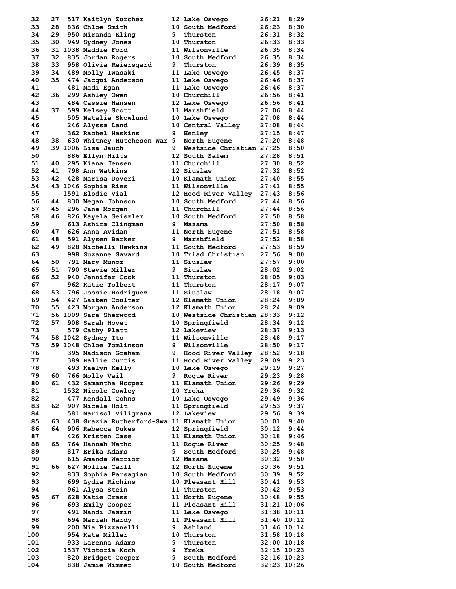| 32       | 27       | 517 Kaitlyn Zurcher                        |                | 12 Lake Oswego                   | 26:21           | 8:29          |
|----------|----------|--------------------------------------------|----------------|----------------------------------|-----------------|---------------|
| 33       | 28       | 836 Chloe Smith                            |                | 10 South Medford                 | 26:23           | 8:30          |
| 34       | 29       | 950 Miranda Kling                          | 9.             | Thurston                         | 26:31           | 8:32          |
| 35       | 30       | 949 Sydney Jones                           |                | 10 Thurston                      | 26:33           | 8:33          |
| 36       |          | 31 1038 Maddie Ford                        |                | 11 Wilsonville                   | 26:35           | 8:34          |
| 37       | 32       | 835 Jordan Rogers                          |                | 10 South Medford                 | 26:35           | 8:34          |
| 38       | 33       | 958 Olivia Reiersgard                      | 9              | Thurston                         | 26:39           | 8:35          |
| 39       | 34       | 489 Molly Iwasaki                          |                | 11 Lake Oswego                   | 26:45           | 8:37          |
| 40       | 35       | 474 Jacqui Anderson                        |                | 11 Lake Oswego                   | 26:46           | 8:37          |
| 41       |          | 481 Madi Egan                              |                | 11 Lake Oswego                   | 26:46           | 8:37          |
| 42       | 36       | 299 Ashley Owen                            |                | 10 Churchill                     | 26:56           | 8:41          |
| 43       |          | 484 Cassie Hansen                          |                | 12 Lake Oswego                   | 26:56           | 8:41          |
| 44       | 37       | 599 Kelsey Scott                           |                | 11 Marshfield                    | 27:06           | 8:44          |
| 45       |          | 505 Natalie Skowlund                       |                | 10 Lake Oswego                   | 27:08           | 8:44          |
| 46       |          | 246 Alyssa Land                            |                | 10 Central Valley                | 27:08           | 8:44          |
| 47       |          | 362 Rachel Haskins                         | 9              | Henley                           | 27:15           | 8:47          |
| 48       | 38       | 630 Whitney Hutcheson War 9 North Eugene   |                |                                  | 27:20           | 8:48          |
| 49       |          | 39 1006 Lisa Jauch                         | 9.             | Westside Christian 27:25         |                 | 8:50          |
| 50       |          | 886 Ellyn Hilts                            |                | 12 South Salem                   | 27:28           | 8:51          |
| 51       | 40<br>41 | 295 Kiana Jensen<br>798 Ann Watkins        |                | 11 Churchill                     | 27:30           | 8:52<br>8:52  |
| 52<br>53 | 42       | 428 Marisa Doveri                          |                | 12 Siuslaw<br>10 Klamath Union   | 27:32<br>27:40  | 8:55          |
| 54       |          | 43 1046 Sophia Ries                        |                | 11 Wilsonville                   | 27:41           | 8:55          |
| 55       |          | 1591 Elodie Vial                           |                | 12 Hood River Valley 27:43       |                 | 8:56          |
| 56       | 44       | 830 Megan Johnson                          |                | 10 South Medford                 | 27:44           | 8:56          |
| 57       | 45       | 296 Jane Morgan                            |                | 11 Churchill                     | 27:44           | 8:56          |
| 58       | 46       | 826 Kayela Geiszler                        |                | 10 South Medford                 | 27:50           | 8:58          |
| 59       |          | 613 Ashira Clingman                        |                | 9 Mazama                         | 27:50           | 8:58          |
| 60       | 47       | 626 Anna Avidan                            |                | 11 North Eugene                  | 27:51           | 8:58          |
| 61       | 48       | 591 Alysen Barker                          | 9              | Marshfield                       | 27:52           | 8:58          |
| 62       | 49       | 828 Michelli Hawkins                       |                | 11 South Medford                 | 27:53           | 8:59          |
| 63       |          | 998 Suzanne Savard                         |                | 10 Triad Christian               | 27:56           | 9:00          |
| 64       | 50       | 791 Mary Munoz                             |                | 11 Siuslaw                       | 27:57           | 9:00          |
| 65       | 51       | 790 Stevie Miller                          | 9              | Siuslaw                          | 28:02           | 9:02          |
| 66       | 52       | 940 Jennifer Cook                          |                | 11 Thurston                      | 28:05           | 9:03          |
| 67       |          | 962 Katie Tolbert                          |                | 11 Thurston                      | 28:17           | 9:07          |
| 68       | 53       | 796 Jossie Rodriquez                       |                | 11 Siuslaw                       | 28:18           | 9:07          |
| 69       | 54       | 427 Laiken Coulter                         |                | 12 Klamath Union                 | 28:24           | 9:09          |
| 70       | 55       | 423 Morgan Anderson                        |                | 12 Klamath Union                 | 28:24           | 9:09          |
| 71       |          | 56 1009 Sara Sherwood                      |                | 10 Westside Christian 28:33      |                 | 9:12          |
| 72       | 57       | 908 Sarah Hovet                            |                | 10 Springfield                   | 28:34           | 9:12          |
| 73       |          | 579 Cathy Platt                            |                | 12 Lakeview                      | 28:37           | 9:13          |
| 74       |          | 58 1042 Sydney Ito                         |                | 11 Wilsonville                   | 28:48           | 9:17          |
| 75       |          | 59 1048 Chloe Tomlinson                    | 9 <sub>o</sub> | Wilsonville                      | 28:50           | 9:17          |
| 76       |          | 395 Madison Graham                         | 9              | Hood River Valley                | 28:52           | 9:18          |
| 77       |          | 389 Hallie Curtis                          |                | 11 Hood River Valley             | 29:09           | 9:23          |
| 78       |          | 493 Kaelyn Kelly                           |                | 10 Lake Oswego                   | 29:19           | 9:27          |
| 79       | 60       | 766 Molly Vail                             | 9              | Roque River                      | 29:23           | 9:28          |
| 80       | 61 -     | 432 Samantha Hooper                        |                | 11 Klamath Union                 | 29:26           | 9:29          |
| 81       |          | 1532 Nicole Cowley                         |                | 10 Yreka                         | 29:36           | 9:32          |
| 82<br>83 |          | 477 Kendall Cohns<br>907 Micela Holt       |                | 10 Lake Oswego<br>11 Springfield | 29:49<br>29:53  | 9:36<br>9:37  |
| 84       | 62       | 581 Marisol Viligrana                      |                | 12 Lakeview                      | 29:56           | 9:39          |
| 85       | 63       | 438 Grazia Rutherford-Swa 11 Klamath Union |                |                                  | 30:01           | 9:40          |
| 86       | 64       | 906 Rebecca Dukes                          |                | 12 Springfield                   | 30:12           | 9:44          |
| 87       |          | 426 Kristen Case                           |                | 11 Klamath Union                 | 30:18           | 9:46          |
| 88       | 65       | 764 Hannah Natho                           |                | 11 Roque River                   | 30:25           | 9:48          |
| 89       |          | 817 Erika Adams                            | 9.             | South Medford                    | 30:25           | 9:48          |
| 90       |          | 615 Amanda Warrior                         |                | 12 Mazama                        | 30:32           | 9:50          |
| 91       | 66       | 627 Nollie Carll                           |                | 12 North Eugene                  | 30:36           | 9:51          |
| 92       |          | 833 Sophia Parsagian                       |                | 10 South Medford                 | 30:39           | 9:52          |
| 93       |          | 699 Lydia Richins                          |                | 10 Pleasant Hill                 | 30:41           | 9:53          |
| 94       |          | 961 Alysa Stein                            |                | 11 Thurston                      | 30:42           | 9:53          |
| 95       | 67       | 628 Katie Crass                            |                | 11 North Eugene                  | 30:48           | 9:55          |
| 96       |          | 693 Emily Cooper                           |                | 11 Pleasant Hill                 | 31:21 10:06     |               |
| 97       |          | 491 Mandi Jasmin                           |                | 11 Lake Oswego                   | $31:38$ $10:11$ |               |
| 98       |          | 694 Mariah Hardy                           |                | 11 Pleasant Hill                 | $31:40$ $10:12$ |               |
| 99       |          | 200 Mia Bizzanelli                         | 9              | Ashland                          | $31:46$ $10:14$ |               |
| 100      |          | 954 Kate Miller                            |                | 10 Thurston                      | 31:58 10:18     |               |
| 101      |          | 933 Larenna Adams                          | 9              | Thurston                         |                 | $32:00$ 10:18 |
| 102      |          | 1537 Victoria Koch                         | 9              | Yreka                            | $32:15$ $10:23$ |               |
| 103      |          | 820 Bridget Cooper                         | 9              | South Medford                    | $32:16$ $10:23$ |               |
| 104      |          | 838 Jamie Wimmer                           |                | 10 South Medford                 | 32:23 10:26     |               |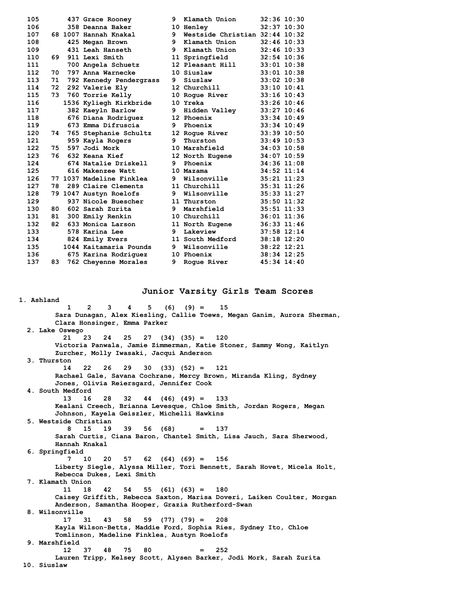| 105 |    | 437 Grace Rooney         | 9 | Klamath Union                  | 32:36 10:30     |  |
|-----|----|--------------------------|---|--------------------------------|-----------------|--|
| 106 |    | 358 Deanna Baker         |   | 10 Henley                      | 32:37 10:30     |  |
| 107 |    | 68 1007 Hannah Knakal    | 9 | Westside Christian 32:44 10:32 |                 |  |
| 108 |    | 425 Megan Brown          | 9 | Klamath Union                  | $32:46$ 10:33   |  |
| 109 |    | 431 Leah Hanseth         | 9 | Klamath Union                  | $32:46$ 10:33   |  |
| 110 | 69 | 911 Lexi Smith           |   | 11 Springfield                 | $32:54$ 10:36   |  |
| 111 |    | 700 Angela Schuetz       |   | 12 Pleasant Hill               | $33:01$ 10:38   |  |
| 112 | 70 | 797 Anna Warnecke        |   | 10 Siuslaw                     | $33:01$ 10:38   |  |
| 113 | 71 | 792 Kennedy Pendergrass  | 9 | Siuslaw                        | $33:02$ 10:38   |  |
| 114 | 72 | 292 Valerie Ely          |   | 12 Churchill                   | $33:10$ $10:41$ |  |
| 115 | 73 | 760 Torrie Kelly         |   | 10 Roque River                 | $33:16$ 10:43   |  |
| 116 |    | 1536 Kyliegh Kirkbride   |   | 10 Yreka                       | 33:26 10:46     |  |
| 117 |    | 382 Kaeyln Barlow        | 9 | Hidden Valley                  | 33:27 10:46     |  |
| 118 |    | 676 Diana Rodriguez      |   | 12 Phoenix                     | $33:34$ 10:49   |  |
| 119 |    | 673 Emma Difruscia       | 9 | Phoenix                        | 33:34 10:49     |  |
| 120 | 74 | 765 Stephanie Schultz    |   | 12 Roque River                 | $33:39$ 10:50   |  |
| 121 |    | 959 Kayla Rogers         | 9 | Thurston                       | $33:49$ 10:53   |  |
| 122 | 75 | 597 Jodi Mork            |   | 10 Marshfield                  | 34:03 10:58     |  |
| 123 | 76 | 632 Keana Kief           |   | 12 North Eugene                | 34:07 10:59     |  |
| 124 |    | 674 Natalie Driskell     | 9 | Phoenix                        | 34:36 11:08     |  |
| 125 |    | 616 Makenzee Watt        |   | 10 Mazama                      | $34:52$ 11:14   |  |
| 126 |    | 77 1037 Madeline Finklea | 9 | Wilsonville                    | $35:21$ $11:23$ |  |
| 127 | 78 | 289 Claire Clements      |   | 11 Churchill                   | 35:31 11:26     |  |
| 128 |    | 79 1047 Austyn Roelofs   | 9 | Wilsonville                    | 35:33 11:27     |  |
| 129 |    | 937 Nicole Buescher      |   | 11 Thurston                    | 35:50 11:32     |  |
| 130 | 80 | 602 Sarah Zurita         | 9 | Marshfield                     | $35:51$ $11:33$ |  |
| 131 | 81 | 300 Emily Renkin         |   | 10 Churchill                   | 36:01 11:36     |  |
| 132 | 82 | 633 Monica Larson        |   | 11 North Eugene                | $36:33$ $11:46$ |  |
| 133 |    | 578 Karina Lee           | 9 | Lakeview                       | $37:58$ $12:14$ |  |
| 134 |    | 824 Emily Evers          |   | 11 South Medford               | 38:18 12:20     |  |
| 135 |    | 1044 Kaitamaria Pounds   | 9 | Wilsonville                    | 38:22 12:21     |  |
| 136 |    | 675 Karina Rodriguez     |   | 10 Phoenix                     | 38:34 12:25     |  |
| 137 | 83 | 762 Cheyenne Morales     | 9 | Roque River                    | 45:34 14:40     |  |

**1. Ashland**

### **Junior Varsity Girls Team Scores**

 **1 2 3 4 5 (6) (9) = 15 Sara Dunagan, Alex Kiesling, Callie Toews, Megan Ganim, Aurora Sherman, Clara Honsinger, Emma Parker 2. Lake Oswego 21 23 24 25 27 (34) (35) = 120 Victoria Panwala, Jamie Zimmerman, Katie Stoner, Sammy Wong, Kaitlyn Zurcher, Molly Iwasaki, Jacqui Anderson 3. Thurston 14 22 26 29 30 (33) (52) = 121 Rachael Gale, Savana Cochrane, Mercy Brown, Miranda Kling, Sydney Jones, Olivia Reiersgard, Jennifer Cook 4. South Medford 13 16 28 32 44 (46) (49) = 133 Kealani Creech, Brianna Levesque, Chloe Smith, Jordan Rogers, Megan Johnson, Kayela Geiszler, Michelli Hawkins 5. Westside Christian 8 15 19 39 56 (68) = 137 Sarah Curtis, Ciana Baron, Chantel Smith, Lisa Jauch, Sara Sherwood, Hannah Knakal 6. Springfield 7 10 20 57 62 (64) (69) = 156 Liberty Siegle, Alyssa Miller, Tori Bennett, Sarah Hovet, Micela Holt, Rebecca Dukes, Lexi Smith 7. Klamath Union 11 18 42 54 55 (61) (63) = 180 Caisey Griffith, Rebecca Saxton, Marisa Doveri, Laiken Coulter, Morgan Anderson, Samantha Hooper, Grazia Rutherford-Swan 8. Wilsonville 17 31 43 58 59 (77) (79) = 208 Kayla Wilson-Betts, Maddie Ford, Sophia Ries, Sydney Ito, Chloe Tomlinson, Madeline Finklea, Austyn Roelofs 9. Marshfield 12 37 48 75 80 = 252 Lauren Tripp, Kelsey Scott, Alysen Barker, Jodi Mork, Sarah Zurita 10. Siuslaw**